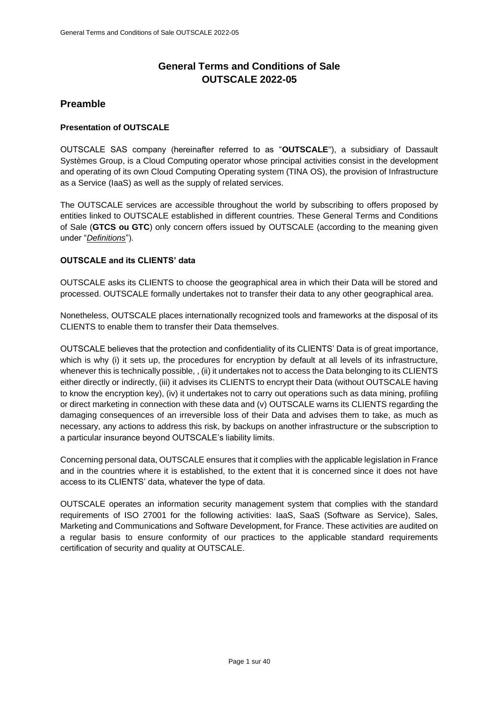# **General Terms and Conditions of Sale OUTSCALE 2022-05**

# **Preamble**

## **Presentation of OUTSCALE**

OUTSCALE SAS company (hereinafter referred to as "**OUTSCALE**"), a subsidiary of Dassault Systèmes Group, is a Cloud Computing operator whose principal activities consist in the development and operating of its own Cloud Computing Operating system (TINA OS), the provision of Infrastructure as a Service (IaaS) as well as the supply of related services.

The OUTSCALE services are accessible throughout the world by subscribing to offers proposed by entities linked to OUTSCALE established in different countries. These General Terms and Conditions of Sale (**GTCS ou GTC**) only concern offers issued by OUTSCALE (according to the meaning given under "*[Definitions](#page-2-0)*").

## **OUTSCALE and its CLIENTS' data**

OUTSCALE asks its CLIENTS to choose the geographical area in which their Data will be stored and processed. OUTSCALE formally undertakes not to transfer their data to any other geographical area.

Nonetheless, OUTSCALE places internationally recognized tools and frameworks at the disposal of its CLIENTS to enable them to transfer their Data themselves.

OUTSCALE believes that the protection and confidentiality of its CLIENTS' Data is of great importance, which is why (i) it sets up, the procedures for encryption by default at all levels of its infrastructure, whenever this is technically possible, , (ii) it undertakes not to access the Data belonging to its CLIENTS either directly or indirectly, (iii) it advises its CLIENTS to encrypt their Data (without OUTSCALE having to know the encryption key), (iv) it undertakes not to carry out operations such as data mining, profiling or direct marketing in connection with these data and (v) OUTSCALE warns its CLIENTS regarding the damaging consequences of an irreversible loss of their Data and advises them to take, as much as necessary, any actions to address this risk, by backups on another infrastructure or the subscription to a particular insurance beyond OUTSCALE's liability limits.

Concerning personal data, OUTSCALE ensures that it complies with the applicable legislation in France and in the countries where it is established, to the extent that it is concerned since it does not have access to its CLIENTS' data, whatever the type of data.

OUTSCALE operates an information security management system that complies with the standard requirements of ISO 27001 for the following activities: IaaS, SaaS (Software as Service), Sales, Marketing and Communications and Software Development, for France. These activities are audited on a regular basis to ensure conformity of our practices to the applicable standard requirements certification of security and quality at OUTSCALE.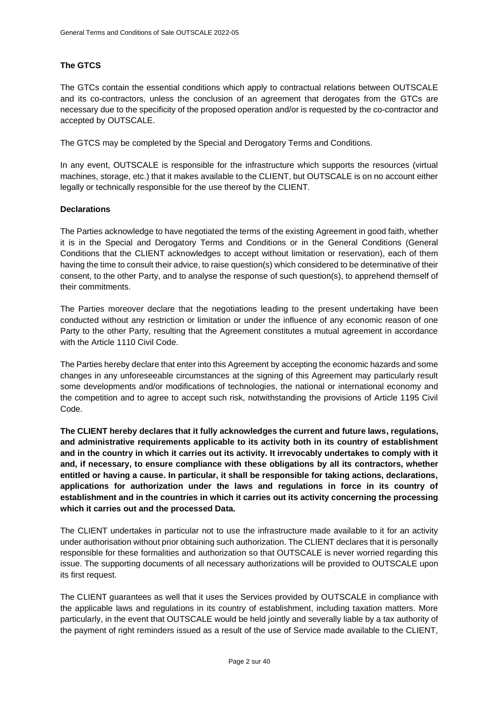## **The GTCS**

The GTCs contain the essential conditions which apply to contractual relations between OUTSCALE and its co-contractors, unless the conclusion of an agreement that derogates from the GTCs are necessary due to the specificity of the proposed operation and/or is requested by the co-contractor and accepted by OUTSCALE.

The GTCS may be completed by the Special and Derogatory Terms and Conditions.

In any event, OUTSCALE is responsible for the infrastructure which supports the resources (virtual machines, storage, etc.) that it makes available to the CLIENT, but OUTSCALE is on no account either legally or technically responsible for the use thereof by the CLIENT.

## **Declarations**

The Parties acknowledge to have negotiated the terms of the existing Agreement in good faith, whether it is in the Special and Derogatory Terms and Conditions or in the General Conditions (General Conditions that the CLIENT acknowledges to accept without limitation or reservation), each of them having the time to consult their advice, to raise question(s) which considered to be determinative of their consent, to the other Party, and to analyse the response of such question(s), to apprehend themself of their commitments.

The Parties moreover declare that the negotiations leading to the present undertaking have been conducted without any restriction or limitation or under the influence of any economic reason of one Party to the other Party, resulting that the Agreement constitutes a mutual agreement in accordance with the Article 1110 Civil Code.

The Parties hereby declare that enter into this Agreement by accepting the economic hazards and some changes in any unforeseeable circumstances at the signing of this Agreement may particularly result some developments and/or modifications of technologies, the national or international economy and the competition and to agree to accept such risk, notwithstanding the provisions of Article 1195 Civil Code.

**The CLIENT hereby declares that it fully acknowledges the current and future laws, regulations, and administrative requirements applicable to its activity both in its country of establishment and in the country in which it carries out its activity. It irrevocably undertakes to comply with it and, if necessary, to ensure compliance with these obligations by all its contractors, whether entitled or having a cause. In particular, it shall be responsible for taking actions, declarations, applications for authorization under the laws and regulations in force in its country of establishment and in the countries in which it carries out its activity concerning the processing which it carries out and the processed Data.**

The CLIENT undertakes in particular not to use the infrastructure made available to it for an activity under authorisation without prior obtaining such authorization. The CLIENT declares that it is personally responsible for these formalities and authorization so that OUTSCALE is never worried regarding this issue. The supporting documents of all necessary authorizations will be provided to OUTSCALE upon its first request.

The CLIENT guarantees as well that it uses the Services provided by OUTSCALE in compliance with the applicable laws and regulations in its country of establishment, including taxation matters. More particularly, in the event that OUTSCALE would be held jointly and severally liable by a tax authority of the payment of right reminders issued as a result of the use of Service made available to the CLIENT,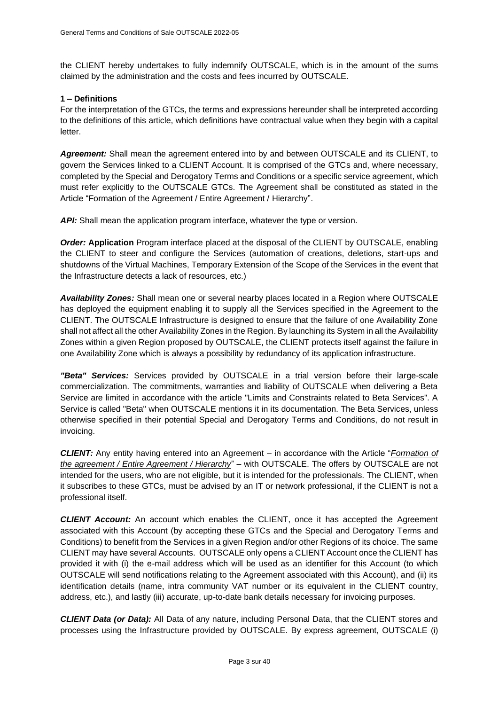the CLIENT hereby undertakes to fully indemnify OUTSCALE, which is in the amount of the sums claimed by the administration and the costs and fees incurred by OUTSCALE.

#### <span id="page-2-0"></span>**1 – Definitions**

For the interpretation of the GTCs, the terms and expressions hereunder shall be interpreted according to the definitions of this article, which definitions have contractual value when they begin with a capital letter.

*Agreement:* Shall mean the agreement entered into by and between OUTSCALE and its CLIENT, to govern the Services linked to a CLIENT Account. It is comprised of the GTCs and, where necessary, completed by the Special and Derogatory Terms and Conditions or a specific service agreement, which must refer explicitly to the OUTSCALE GTCs. The Agreement shall be constituted as stated in the Article ["Formation of the Agreement / Entire Agreement / Hierarchy"](#page-7-0).

*API:* Shall mean the application program interface, whatever the type or version.

*Order:* **Application** Program interface placed at the disposal of the CLIENT by OUTSCALE, enabling the CLIENT to steer and configure the Services (automation of creations, deletions, start-ups and shutdowns of the Virtual Machines, Temporary Extension of the Scope of the Services in the event that the Infrastructure detects a lack of resources, etc.)

*Availability Zones:* Shall mean one or several nearby places located in a Region where OUTSCALE has deployed the equipment enabling it to supply all the Services specified in the Agreement to the CLIENT. The OUTSCALE Infrastructure is designed to ensure that the failure of one Availability Zone shall not affect all the other Availability Zones in the Region. By launching its System in all the Availability Zones within a given Region proposed by OUTSCALE, the CLIENT protects itself against the failure in one Availability Zone which is always a possibility by redundancy of its application infrastructure.

*"Beta" Services:* Services provided by OUTSCALE in a trial version before their large-scale commercialization. The commitments, warranties and liability of OUTSCALE when delivering a Beta Service are limited in accordance with the article "Limits and Constraints related to Beta Services". A Service is called "Beta" when OUTSCALE mentions it in its documentation. The Beta Services, unless otherwise specified in their potential Special and Derogatory Terms and Conditions, do not result in invoicing.

*CLIENT:* Any entity having entered into an Agreement – in accordance with the Article "*[Formation of](#page-7-0)  [the agreement / Entire Agreement / Hierarchy](#page-7-0)*" – with OUTSCALE. The offers by OUTSCALE are not intended for the users, who are not eligible, but it is intended for the professionals. The CLIENT, when it subscribes to these GTCs, must be advised by an IT or network professional, if the CLIENT is not a professional itself.

*CLIENT Account:* An account which enables the CLIENT, once it has accepted the Agreement associated with this Account (by accepting these GTCs and the Special and Derogatory Terms and Conditions) to benefit from the Services in a given Region and/or other Regions of its choice. The same CLIENT may have several Accounts. OUTSCALE only opens a CLIENT Account once the CLIENT has provided it with (i) the e-mail address which will be used as an identifier for this Account (to which OUTSCALE will send notifications relating to the Agreement associated with this Account), and (ii) its identification details (name, intra community VAT number or its equivalent in the CLIENT country, address, etc.), and lastly (iii) accurate, up-to-date bank details necessary for invoicing purposes.

*CLIENT Data (or Data):* All Data of any nature, including Personal Data, that the CLIENT stores and processes using the Infrastructure provided by OUTSCALE. By express agreement, OUTSCALE (i)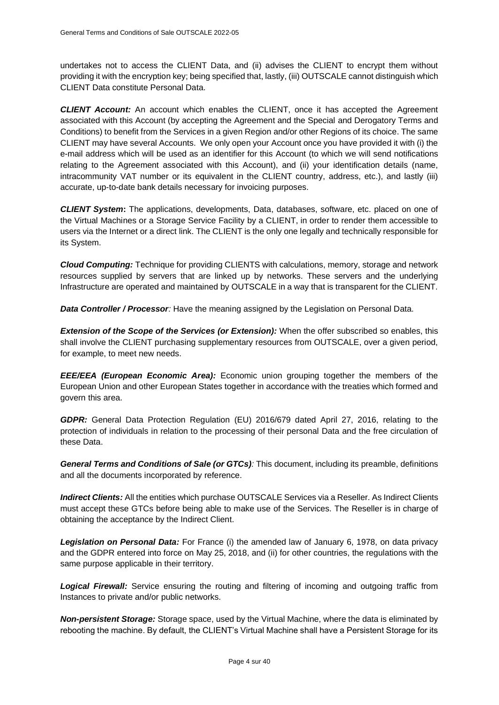undertakes not to access the CLIENT Data, and (ii) advises the CLIENT to encrypt them without providing it with the encryption key; being specified that, lastly, (iii) OUTSCALE cannot distinguish which CLIENT Data constitute Personal Data.

*CLIENT Account:* An account which enables the CLIENT, once it has accepted the Agreement associated with this Account (by accepting the Agreement and the Special and Derogatory Terms and Conditions) to benefit from the Services in a given Region and/or other Regions of its choice. The same CLIENT may have several Accounts. We only open your Account once you have provided it with (i) the e-mail address which will be used as an identifier for this Account (to which we will send notifications relating to the Agreement associated with this Account), and (ii) your identification details (name, intracommunity VAT number or its equivalent in the CLIENT country, address, etc.), and lastly (iii) accurate, up-to-date bank details necessary for invoicing purposes.

*CLIENT System***:** The applications, developments, Data, databases, software, etc. placed on one of the Virtual Machines or a Storage Service Facility by a CLIENT, in order to render them accessible to users via the Internet or a direct link. The CLIENT is the only one legally and technically responsible for its System.

*Cloud Computing:* Technique for providing CLIENTS with calculations, memory, storage and network resources supplied by servers that are linked up by networks. These servers and the underlying Infrastructure are operated and maintained by OUTSCALE in a way that is transparent for the CLIENT.

*Data Controller / Processor:* Have the meaning assigned by the Legislation on Personal Data.

*Extension of the Scope of the Services (or Extension):* When the offer subscribed so enables, this shall involve the CLIENT purchasing supplementary resources from OUTSCALE, over a given period, for example, to meet new needs.

*EEE/EEA (European Economic Area):* Economic union grouping together the members of the European Union and other European States together in accordance with the treaties which formed and govern this area.

*GDPR:* General Data Protection Regulation (EU) 2016/679 dated April 27, 2016, relating to the protection of individuals in relation to the processing of their personal Data and the free circulation of these Data.

*General Terms and Conditions of Sale (or GTCs):* This document, including its preamble, definitions and all the documents incorporated by reference.

*Indirect Clients:* All the entities which purchase OUTSCALE Services via a Reseller. As Indirect Clients must accept these GTCs before being able to make use of the Services. The Reseller is in charge of obtaining the acceptance by the Indirect Client.

*Legislation on Personal Data:* For France (i) the amended law of January 6, 1978, on data privacy and the GDPR entered into force on May 25, 2018, and (ii) for other countries, the regulations with the same purpose applicable in their territory.

**Logical Firewall:** Service ensuring the routing and filtering of incoming and outgoing traffic from Instances to private and/or public networks.

*Non-persistent Storage:* Storage space, used by the Virtual Machine, where the data is eliminated by rebooting the machine. By default, the CLIENT's Virtual Machine shall have a Persistent Storage for its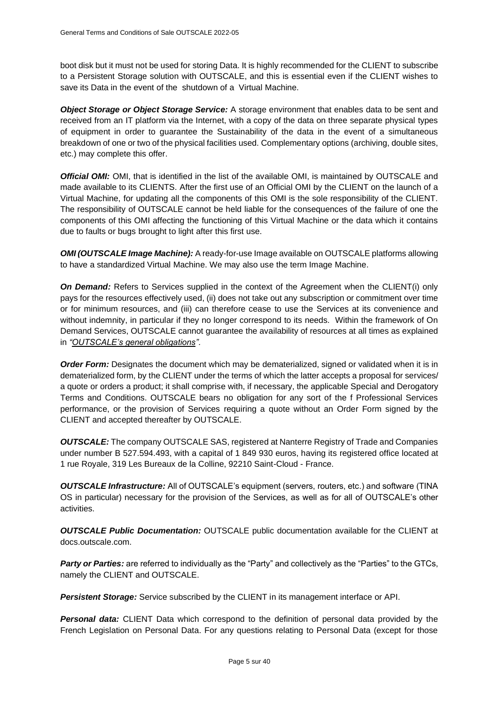boot disk but it must not be used for storing Data. It is highly recommended for the CLIENT to subscribe to a Persistent Storage solution with OUTSCALE, and this is essential even if the CLIENT wishes to save its Data in the event of the shutdown of a Virtual Machine.

*Object Storage or Object Storage Service:* A storage environment that enables data to be sent and received from an IT platform via the Internet, with a copy of the data on three separate physical types of equipment in order to guarantee the Sustainability of the data in the event of a simultaneous breakdown of one or two of the physical facilities used. Complementary options (archiving, double sites, etc.) may complete this offer.

*Official OMI:* OMI, that is identified in the list of the available OMI, is maintained by OUTSCALE and made available to its CLIENTS. After the first use of an Official OMI by the CLIENT on the launch of a Virtual Machine, for updating all the components of this OMI is the sole responsibility of the CLIENT. The responsibility of OUTSCALE cannot be held liable for the consequences of the failure of one the components of this OMI affecting the functioning of this Virtual Machine or the data which it contains due to faults or bugs brought to light after this first use.

*OMI (OUTSCALE Image Machine):* A ready-for-use Image available on OUTSCALE platforms allowing to have a standardized Virtual Machine. We may also use the term Image Machine.

**On Demand:** Refers to Services supplied in the context of the Agreement when the CLIENT(i) only pays for the resources effectively used, (ii) does not take out any subscription or commitment over time or for minimum resources, and (iii) can therefore cease to use the Services at its convenience and without indemnity, in particular if they no longer correspond to its needs. Within the framework of On Demand Services, OUTSCALE cannot guarantee the availability of resources at all times as explained in *["OUTSCALE's general obligations"](#page-11-0).*

**Order Form:** Designates the document which may be dematerialized, signed or validated when it is in dematerialized form, by the CLIENT under the terms of which the latter accepts a proposal for services/ a quote or orders a product; it shall comprise with, if necessary, the applicable Special and Derogatory Terms and Conditions. OUTSCALE bears no obligation for any sort of the f Professional Services performance, or the provision of Services requiring a quote without an Order Form signed by the CLIENT and accepted thereafter by OUTSCALE.

*OUTSCALE:* The company OUTSCALE SAS, registered at Nanterre Registry of Trade and Companies under number B 527.594.493, with a capital of 1 849 930 euros, having its registered office located at 1 rue Royale, 319 Les Bureaux de la Colline, 92210 Saint-Cloud - France.

*OUTSCALE Infrastructure:* All of OUTSCALE's equipment (servers, routers, etc.) and software (TINA OS in particular) necessary for the provision of the Services, as well as for all of OUTSCALE's other activities.

*OUTSCALE Public Documentation:* OUTSCALE public documentation available for the CLIENT at docs.outscale.com.

*Party or Parties:* are referred to individually as the "Party" and collectively as the "Parties" to the GTCs, namely the CLIENT and OUTSCALE.

*Persistent Storage:* Service subscribed by the CLIENT in its management interface or API.

**Personal data:** CLIENT Data which correspond to the definition of personal data provided by the French Legislation on Personal Data. For any questions relating to Personal Data (except for those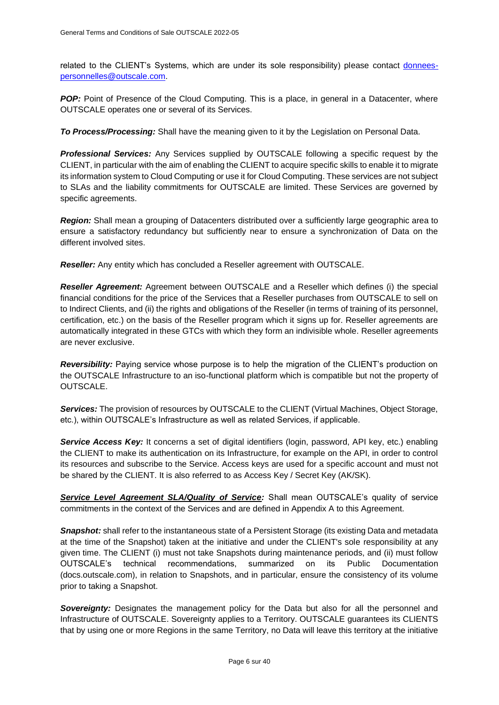related to the CLIENT's Systems, which are under its sole responsibility) please contact [donnees](mailto:donnees-personnelles@outscale.com)[personnelles@outscale.com.](mailto:donnees-personnelles@outscale.com)

**POP:** Point of Presence of the Cloud Computing. This is a place, in general in a Datacenter, where OUTSCALE operates one or several of its Services.

*To Process/Processing:* Shall have the meaning given to it by the Legislation on Personal Data.

*Professional Services:* Any Services supplied by OUTSCALE following a specific request by the CLIENT, in particular with the aim of enabling the CLIENT to acquire specific skills to enable it to migrate its information system to Cloud Computing or use it for Cloud Computing. These services are not subject to SLAs and the liability commitments for OUTSCALE are limited. These Services are governed by specific agreements.

*Region:* Shall mean a grouping of Datacenters distributed over a sufficiently large geographic area to ensure a satisfactory redundancy but sufficiently near to ensure a synchronization of Data on the different involved sites.

*Reseller:* Any entity which has concluded a Reseller agreement with OUTSCALE.

*Reseller Agreement:* Agreement between OUTSCALE and a Reseller which defines (i) the special financial conditions for the price of the Services that a Reseller purchases from OUTSCALE to sell on to Indirect Clients, and (ii) the rights and obligations of the Reseller (in terms of training of its personnel, certification, etc.) on the basis of the Reseller program which it signs up for. Reseller agreements are automatically integrated in these GTCs with which they form an indivisible whole. Reseller agreements are never exclusive.

*Reversibility:* Paying service whose purpose is to help the migration of the CLIENT's production on the OUTSCALE Infrastructure to an iso-functional platform which is compatible but not the property of OUTSCALE.

*Services:* The provision of resources by OUTSCALE to the CLIENT (Virtual Machines, Object Storage, etc.), within OUTSCALE's Infrastructure as well as related Services, if applicable.

**Service Access Key:** It concerns a set of digital identifiers (login, password, API key, etc.) enabling the CLIENT to make its authentication on its Infrastructure, for example on the API, in order to control its resources and subscribe to the Service. Access keys are used for a specific account and must not be shared by the CLIENT. It is also referred to as Access Key / Secret Key (AK/SK).

**[Service Level Agreement SLA/Quality of Service:](#page-33-0)** Shall mean OUTSCALE's quality of service commitments in the context of the Services and are defined in Appendix A to this Agreement.

**Snapshot:** shall refer to the instantaneous state of a Persistent Storage (its existing Data and metadata at the time of the Snapshot) taken at the initiative and under the CLIENT's sole responsibility at any given time. The CLIENT (i) must not take Snapshots during maintenance periods, and (ii) must follow OUTSCALE's technical recommendations, summarized on its Public Documentation (docs.outscale.com), in relation to Snapshots, and in particular, ensure the consistency of its volume prior to taking a Snapshot.

**Sovereignty:** Designates the management policy for the Data but also for all the personnel and Infrastructure of OUTSCALE. Sovereignty applies to a Territory. OUTSCALE guarantees its CLIENTS that by using one or more Regions in the same Territory, no Data will leave this territory at the initiative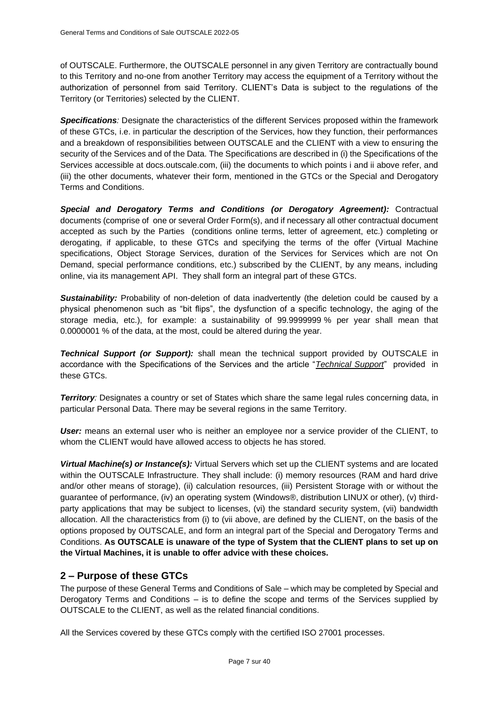of OUTSCALE. Furthermore, the OUTSCALE personnel in any given Territory are contractually bound to this Territory and no-one from another Territory may access the equipment of a Territory without the authorization of personnel from said Territory. CLIENT's Data is subject to the regulations of the Territory (or Territories) selected by the CLIENT.

*Specifications:* Designate the characteristics of the different Services proposed within the framework of these GTCs, i.e. in particular the description of the Services, how they function, their performances and a breakdown of responsibilities between OUTSCALE and the CLIENT with a view to ensuring the security of the Services and of the Data. The Specifications are described in (i) the Specifications of the Services accessible at docs.outscale.com, (iii) the documents to which points i and ii above refer, and (iii) the other documents, whatever their form, mentioned in the GTCs or the Special and Derogatory Terms and Conditions.

*Special and Derogatory Terms and Conditions (or Derogatory Agreement):* Contractual documents (comprise of one or several Order Form(s), and if necessary all other contractual document accepted as such by the Parties (conditions online terms, letter of agreement, etc.) completing or derogating, if applicable, to these GTCs and specifying the terms of the offer (Virtual Machine specifications, Object Storage Services, duration of the Services for Services which are not On Demand, special performance conditions, etc.) subscribed by the CLIENT, by any means, including online, via its management API. They shall form an integral part of these GTCs.

**Sustainability:** Probability of non-deletion of data inadvertently (the deletion could be caused by a physical phenomenon such as "bit flips", the dysfunction of a specific technology, the aging of the storage media, etc.), for example: a sustainability of 99.9999999 % per year shall mean that 0.0000001 % of the data, at the most, could be altered during the year.

*Technical Support (or Support):* shall mean the technical support provided by OUTSCALE in accordance with the Specifications of the Services and the article "*[Technical Support](#page-29-0)*" provided in these GTCs.

**Territory**: Designates a country or set of States which share the same legal rules concerning data, in particular Personal Data. There may be several regions in the same Territory.

*User:* means an external user who is neither an employee nor a service provider of the CLIENT, to whom the CLIENT would have allowed access to objects he has stored.

*Virtual Machine(s) or Instance(s):* Virtual Servers which set up the CLIENT systems and are located within the OUTSCALE Infrastructure. They shall include: (i) memory resources (RAM and hard drive and/or other means of storage), (ii) calculation resources, (iii) Persistent Storage with or without the guarantee of performance, (iv) an operating system (Windows®, distribution LINUX or other), (v) thirdparty applications that may be subject to licenses, (vi) the standard security system, (vii) bandwidth allocation. All the characteristics from (i) to (vii above, are defined by the CLIENT, on the basis of the options proposed by OUTSCALE, and form an integral part of the Special and Derogatory Terms and Conditions. **As OUTSCALE is unaware of the type of System that the CLIENT plans to set up on the Virtual Machines, it is unable to offer advice with these choices.**

# **2 – Purpose of these GTCs**

The purpose of these General Terms and Conditions of Sale – which may be completed by Special and Derogatory Terms and Conditions – is to define the scope and terms of the Services supplied by OUTSCALE to the CLIENT, as well as the related financial conditions.

All the Services covered by these GTCs comply with the certified ISO 27001 processes.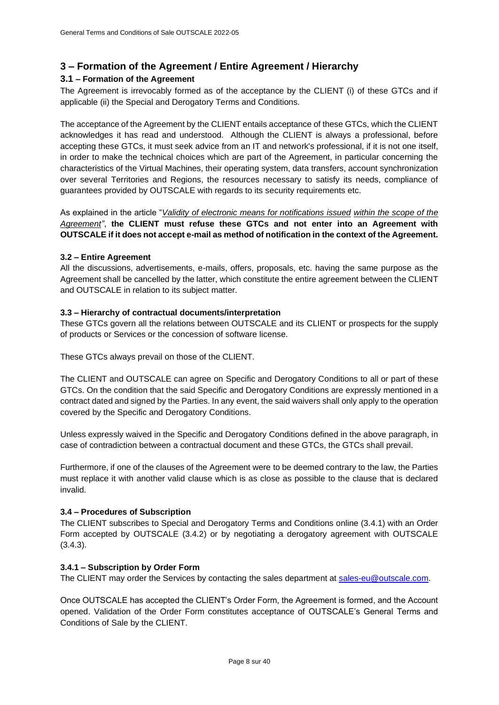# <span id="page-7-0"></span>**3 – Formation of the Agreement / Entire Agreement / Hierarchy**

## <span id="page-7-1"></span>**3.1 – Formation of the Agreement**

The Agreement is irrevocably formed as of the acceptance by the CLIENT (i) of these GTCs and if applicable (ii) the Special and Derogatory Terms and Conditions.

The acceptance of the Agreement by the CLIENT entails acceptance of these GTCs, which the CLIENT acknowledges it has read and understood. Although the CLIENT is always a professional, before accepting these GTCs, it must seek advice from an IT and network's professional, if it is not one itself, in order to make the technical choices which are part of the Agreement, in particular concerning the characteristics of the Virtual Machines, their operating system, data transfers, account synchronization over several Territories and Regions, the resources necessary to satisfy its needs, compliance of guarantees provided by OUTSCALE with regards to its security requirements etc.

As explained in the article "*[Validity of electronic means for notifications issued](#page-30-0) [within the scope of the](#page-30-0)  [Agreement"](#page-30-0)*, **the CLIENT must refuse these GTCs and not enter into an Agreement with OUTSCALE if it does not accept e-mail as method of notification in the context of the Agreement.** 

## **3.2 – Entire Agreement**

All the discussions, advertisements, e-mails, offers, proposals, etc. having the same purpose as the Agreement shall be cancelled by the latter, which constitute the entire agreement between the CLIENT and OUTSCALE in relation to its subject matter.

## **3.3 – Hierarchy of contractual documents/interpretation**

These GTCs govern all the relations between OUTSCALE and its CLIENT or prospects for the supply of products or Services or the concession of software license.

These GTCs always prevail on those of the CLIENT.

The CLIENT and OUTSCALE can agree on Specific and Derogatory Conditions to all or part of these GTCs. On the condition that the said Specific and Derogatory Conditions are expressly mentioned in a contract dated and signed by the Parties. In any event, the said waivers shall only apply to the operation covered by the Specific and Derogatory Conditions.

Unless expressly waived in the Specific and Derogatory Conditions defined in the above paragraph, in case of contradiction between a contractual document and these GTCs, the GTCs shall prevail.

Furthermore, if one of the clauses of the Agreement were to be deemed contrary to the law, the Parties must replace it with another valid clause which is as close as possible to the clause that is declared invalid.

## **3.4 – Procedures of Subscription**

The CLIENT subscribes to Special and Derogatory Terms and Conditions online (3.4.1) with an Order Form accepted by OUTSCALE (3.4.2) or by negotiating a derogatory agreement with OUTSCALE (3.4.3).

## **3.4.1 – Subscription by Order Form**

The CLIENT may order the Services by contacting the sales department at [sales-eu@outscale.com.](mailto:sales-eu@outscale.com)

Once OUTSCALE has accepted the CLIENT's Order Form, the Agreement is formed, and the Account opened. Validation of the Order Form constitutes acceptance of OUTSCALE's General Terms and Conditions of Sale by the CLIENT.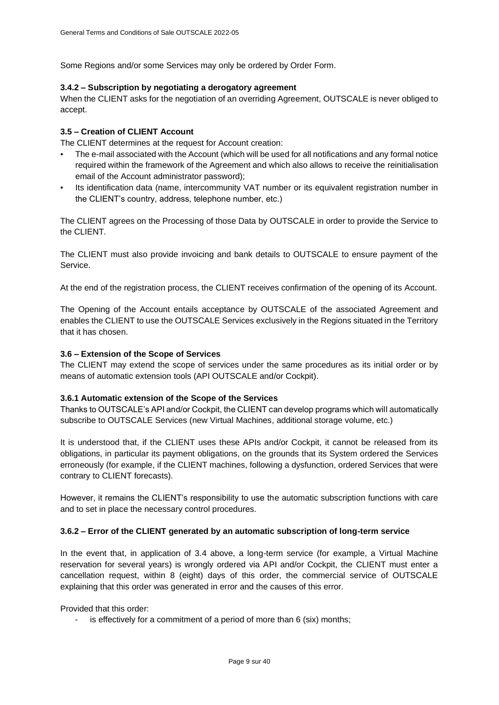Some Regions and/or some Services may only be ordered by Order Form.

## **3.4.2 – Subscription by negotiating a derogatory agreement**

When the CLIENT asks for the negotiation of an overriding Agreement, OUTSCALE is never obliged to accept.

## **3.5 – Creation of CLIENT Account**

The CLIENT determines at the request for Account creation:

- The e-mail associated with the Account (which will be used for all notifications and any formal notice required within the framework of the Agreement and which also allows to receive the reinitialisation email of the Account administrator password);
- Its identification data (name, intercommunity VAT number or its equivalent registration number in the CLIENT's country, address, telephone number, etc.)

The CLIENT agrees on the Processing of those Data by OUTSCALE in order to provide the Service to the CLIENT.

The CLIENT must also provide invoicing and bank details to OUTSCALE to ensure payment of the Service.

At the end of the registration process, the CLIENT receives confirmation of the opening of its Account.

The Opening of the Account entails acceptance by OUTSCALE of the associated Agreement and enables the CLIENT to use the OUTSCALE Services exclusively in the Regions situated in the Territory that it has chosen.

## **3.6 – Extension of the Scope of Services**

The CLIENT may extend the scope of services under the same procedures as its initial order or by means of automatic extension tools (API OUTSCALE and/or Cockpit).

#### **3.6.1 Automatic extension of the Scope of the Services**

Thanks to OUTSCALE's API and/or Cockpit, the CLIENT can develop programs which will automatically subscribe to OUTSCALE Services (new Virtual Machines, additional storage volume, etc.)

It is understood that, if the CLIENT uses these APIs and/or Cockpit, it cannot be released from its obligations, in particular its payment obligations, on the grounds that its System ordered the Services erroneously (for example, if the CLIENT machines, following a dysfunction, ordered Services that were contrary to CLIENT forecasts).

However, it remains the CLIENT's responsibility to use the automatic subscription functions with care and to set in place the necessary control procedures.

#### **3.6.2 – Error of the CLIENT generated by an automatic subscription of long-term service**

In the event that, in application of 3.4 above, a long-term service (for example, a Virtual Machine reservation for several years) is wrongly ordered via API and/or Cockpit, the CLIENT must enter a cancellation request, within 8 (eight) days of this order, the commercial service of OUTSCALE explaining that this order was generated in error and the causes of this error.

Provided that this order:

is effectively for a commitment of a period of more than 6 (six) months;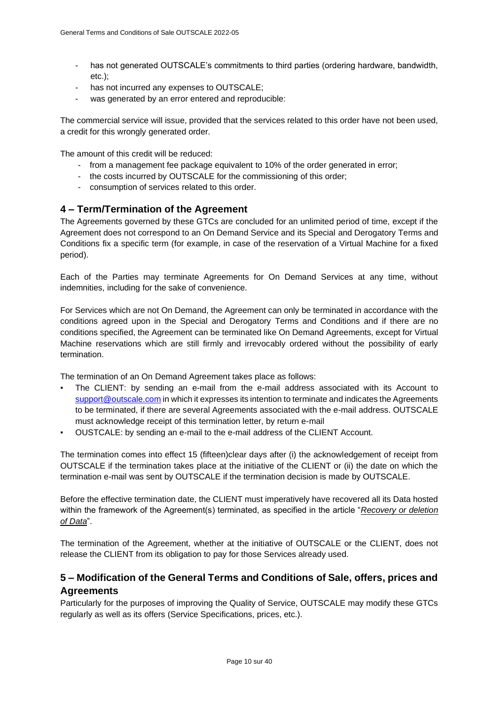- has not generated OUTSCALE's commitments to third parties (ordering hardware, bandwidth, etc.);
- has not incurred any expenses to OUTSCALE;
- was generated by an error entered and reproducible:

The commercial service will issue, provided that the services related to this order have not been used, a credit for this wrongly generated order.

The amount of this credit will be reduced:

- from a management fee package equivalent to 10% of the order generated in error;
- the costs incurred by OUTSCALE for the commissioning of this order;
- consumption of services related to this order.

# <span id="page-9-0"></span>**4 – Term/Termination of the Agreement**

The Agreements governed by these GTCs are concluded for an unlimited period of time, except if the Agreement does not correspond to an On Demand Service and its Special and Derogatory Terms and Conditions fix a specific term (for example, in case of the reservation of a Virtual Machine for a fixed period).

Each of the Parties may terminate Agreements for On Demand Services at any time, without indemnities, including for the sake of convenience.

For Services which are not On Demand, the Agreement can only be terminated in accordance with the conditions agreed upon in the Special and Derogatory Terms and Conditions and if there are no conditions specified, the Agreement can be terminated like On Demand Agreements, except for Virtual Machine reservations which are still firmly and irrevocably ordered without the possibility of early termination.

The termination of an On Demand Agreement takes place as follows:

- The CLIENT: by sending an e-mail from the e-mail address associated with its Account to [support@outscale.com](mailto:support@outscale.com) in which it expresses its intention to terminate and indicates the Agreements to be terminated, if there are several Agreements associated with the e-mail address. OUTSCALE must acknowledge receipt of this termination letter, by return e-mail
- OUSTCALE: by sending an e-mail to the e-mail address of the CLIENT Account.

The termination comes into effect 15 (fifteen)clear days after (i) the acknowledgement of receipt from OUTSCALE if the termination takes place at the initiative of the CLIENT or (ii) the date on which the termination e-mail was sent by OUTSCALE if the termination decision is made by OUTSCALE.

Before the effective termination date, the CLIENT must imperatively have recovered all its Data hosted within the framework of the Agreement(s) terminated, as specified in the article "*[Recovery or deletion](#page-27-0)  [of Data](#page-27-0)*".

The termination of the Agreement, whether at the initiative of OUTSCALE or the CLIENT, does not release the CLIENT from its obligation to pay for those Services already used.

# **5 – Modification of the General Terms and Conditions of Sale, offers, prices and Agreements**

Particularly for the purposes of improving the Quality of Service, OUTSCALE may modify these GTCs regularly as well as its offers (Service Specifications, prices, etc.).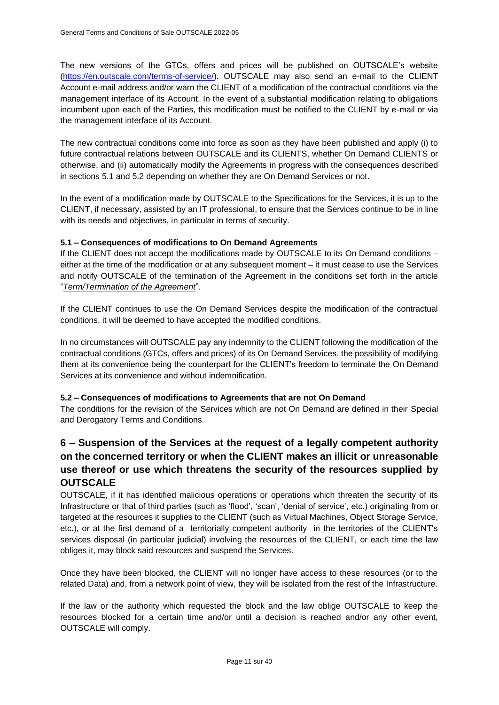The new versions of the GTCs, offers and prices will be published on OUTSCALE's website [\(https://en.outscale.com/terms-of-service/\)](https://en.outscale.com/terms-of-service/). OUTSCALE may also send an e-mail to the CLIENT Account e-mail address and/or warn the CLIENT of a modification of the contractual conditions via the management interface of its Account. In the event of a substantial modification relating to obligations incumbent upon each of the Parties, this modification must be notified to the CLIENT by e-mail or via the management interface of its Account.

The new contractual conditions come into force as soon as they have been published and apply (i) to future contractual relations between OUTSCALE and its CLIENTS, whether On Demand CLIENTS or otherwise, and (ii) automatically modify the Agreements in progress with the consequences described in sections 5.1 and 5.2 depending on whether they are On Demand Services or not.

In the event of a modification made by OUTSCALE to the Specifications for the Services, it is up to the CLIENT, if necessary, assisted by an IT professional, to ensure that the Services continue to be in line with its needs and objectives, in particular in terms of security.

## **5.1 – Consequences of modifications to On Demand Agreements**

If the CLIENT does not accept the modifications made by OUTSCALE to its On Demand conditions – either at the time of the modification or at any subsequent moment – it must cease to use the Services and notify OUTSCALE of the termination of the Agreement in the conditions set forth in the article "*[Term/Termination of the Agreement](#page-9-0)*".

If the CLIENT continues to use the On Demand Services despite the modification of the contractual conditions, it will be deemed to have accepted the modified conditions.

In no circumstances will OUTSCALE pay any indemnity to the CLIENT following the modification of the contractual conditions (GTCs, offers and prices) of its On Demand Services, the possibility of modifying them at its convenience being the counterpart for the CLIENT's freedom to terminate the On Demand Services at its convenience and without indemnification.

## **5.2 – Consequences of modifications to Agreements that are not On Demand**

The conditions for the revision of the Services which are not On Demand are defined in their Special and Derogatory Terms and Conditions.

# **6 – Suspension of the Services at the request of a legally competent authority on the concerned territory or when the CLIENT makes an illicit or unreasonable use thereof or use which threatens the security of the resources supplied by OUTSCALE**

OUTSCALE, if it has identified malicious operations or operations which threaten the security of its Infrastructure or that of third parties (such as 'flood', 'scan', 'denial of service', etc.) originating from or targeted at the resources it supplies to the CLIENT (such as Virtual Machines, Object Storage Service, etc.), or at the first demand of a territorially competent authority in the territories of the CLIENT's services disposal (in particular judicial) involving the resources of the CLIENT, or each time the law obliges it, may block said resources and suspend the Services.

Once they have been blocked, the CLIENT will no longer have access to these resources (or to the related Data) and, from a network point of view, they will be isolated from the rest of the Infrastructure.

If the law or the authority which requested the block and the law oblige OUTSCALE to keep the resources blocked for a certain time and/or until a decision is reached and/or any other event, OUTSCALE will comply.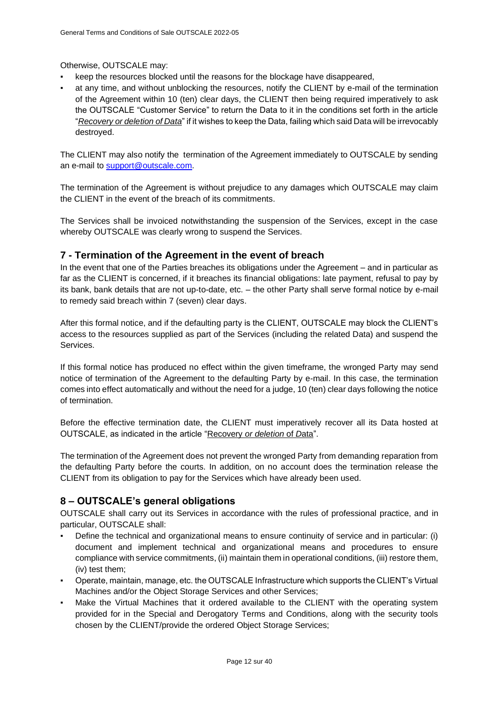## Otherwise, OUTSCALE may:

- keep the resources blocked until the reasons for the blockage have disappeared,
- at any time, and without unblocking the resources, notify the CLIENT by e-mail of the termination of the Agreement within 10 (ten) clear days, the CLIENT then being required imperatively to ask the OUTSCALE "Customer Service" to return the Data to it in the conditions set forth in the article "*[Recovery or deletion of Data](#page-27-0)*" if it wishes to keep the Data, failing which said Data will be irrevocably destroyed.

The CLIENT may also notify the termination of the Agreement immediately to OUTSCALE by sending an e-mail to [support@outscale.com.](mailto:support@outscale.com)

The termination of the Agreement is without prejudice to any damages which OUTSCALE may claim the CLIENT in the event of the breach of its commitments.

The Services shall be invoiced notwithstanding the suspension of the Services, except in the case whereby OUTSCALE was clearly wrong to suspend the Services.

# <span id="page-11-1"></span>**7 - Termination of the Agreement in the event of breach**

In the event that one of the Parties breaches its obligations under the Agreement – and in particular as far as the CLIENT is concerned, if it breaches its financial obligations: late payment, refusal to pay by its bank, bank details that are not up-to-date, etc. – the other Party shall serve formal notice by e-mail to remedy said breach within 7 (seven) clear days.

After this formal notice, and if the defaulting party is the CLIENT, OUTSCALE may block the CLIENT's access to the resources supplied as part of the Services (including the related Data) and suspend the Services.

If this formal notice has produced no effect within the given timeframe, the wronged Party may send notice of termination of the Agreement to the defaulting Party by e-mail. In this case, the termination comes into effect automatically and without the need for a judge, 10 (ten) clear days following the notice of termination.

Before the effective termination date, the CLIENT must imperatively recover all its Data hosted at OUTSCALE, as indicated in the article ["Recovery](#page-27-0) *[or deletion](#page-27-0)* [of](#page-27-0) *[D](#page-27-0)*[ata"](#page-27-0).

The termination of the Agreement does not prevent the wronged Party from demanding reparation from the defaulting Party before the courts. In addition, on no account does the termination release the CLIENT from its obligation to pay for the Services which have already been used.

# <span id="page-11-0"></span>**8 – OUTSCALE's general obligations**

OUTSCALE shall carry out its Services in accordance with the rules of professional practice, and in particular, OUTSCALE shall:

- Define the technical and organizational means to ensure continuity of service and in particular: (i) document and implement technical and organizational means and procedures to ensure compliance with service commitments, (ii) maintain them in operational conditions, (iii) restore them, (iv) test them;
- Operate, maintain, manage, etc. the OUTSCALE Infrastructure which supports the CLIENT's Virtual Machines and/or the Object Storage Services and other Services;
- Make the Virtual Machines that it ordered available to the CLIENT with the operating system provided for in the Special and Derogatory Terms and Conditions, along with the security tools chosen by the CLIENT/provide the ordered Object Storage Services;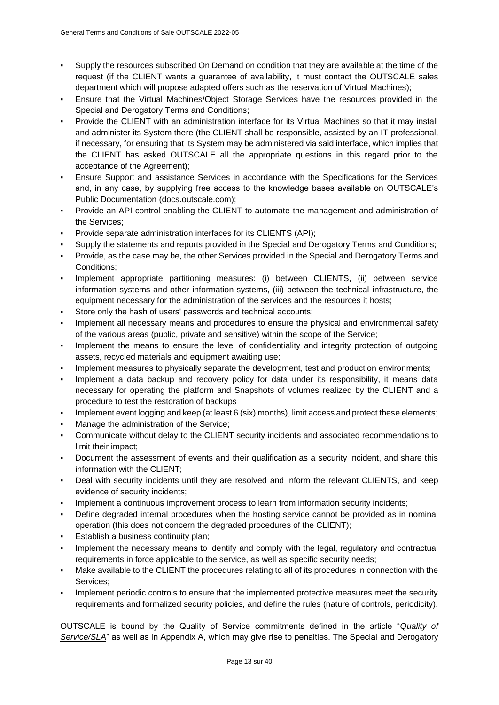- Supply the resources subscribed On Demand on condition that they are available at the time of the request (if the CLIENT wants a guarantee of availability, it must contact the OUTSCALE sales department which will propose adapted offers such as the reservation of Virtual Machines);
- Ensure that the Virtual Machines/Object Storage Services have the resources provided in the Special and Derogatory Terms and Conditions;
- Provide the CLIENT with an administration interface for its Virtual Machines so that it may install and administer its System there (the CLIENT shall be responsible, assisted by an IT professional, if necessary, for ensuring that its System may be administered via said interface, which implies that the CLIENT has asked OUTSCALE all the appropriate questions in this regard prior to the acceptance of the Agreement);
- Ensure Support and assistance Services in accordance with the Specifications for the Services and, in any case, by supplying free access to the knowledge bases available on OUTSCALE's Public Documentation (docs.outscale.com);
- Provide an API control enabling the CLIENT to automate the management and administration of the Services;
- Provide separate administration interfaces for its CLIENTS (API);
- Supply the statements and reports provided in the Special and Derogatory Terms and Conditions;
- Provide, as the case may be, the other Services provided in the Special and Derogatory Terms and Conditions;
- Implement appropriate partitioning measures: (i) between CLIENTS, (ii) between service information systems and other information systems, (iii) between the technical infrastructure, the equipment necessary for the administration of the services and the resources it hosts;
- Store only the hash of users' passwords and technical accounts;
- Implement all necessary means and procedures to ensure the physical and environmental safety of the various areas (public, private and sensitive) within the scope of the Service;
- Implement the means to ensure the level of confidentiality and integrity protection of outgoing assets, recycled materials and equipment awaiting use;
- Implement measures to physically separate the development, test and production environments;
- Implement a data backup and recovery policy for data under its responsibility, it means data necessary for operating the platform and Snapshots of volumes realized by the CLIENT and a procedure to test the restoration of backups
- Implement event logging and keep (at least 6 (six) months), limit access and protect these elements;
- Manage the administration of the Service;
- Communicate without delay to the CLIENT security incidents and associated recommendations to limit their impact;
- Document the assessment of events and their qualification as a security incident, and share this information with the CLIENT;
- Deal with security incidents until they are resolved and inform the relevant CLIENTS, and keep evidence of security incidents;
- Implement a continuous improvement process to learn from information security incidents;
- Define degraded internal procedures when the hosting service cannot be provided as in nominal operation (this does not concern the degraded procedures of the CLIENT);
- Establish a business continuity plan;
- Implement the necessary means to identify and comply with the legal, regulatory and contractual requirements in force applicable to the service, as well as specific security needs;
- Make available to the CLIENT the procedures relating to all of its procedures in connection with the Services;
- Implement periodic controls to ensure that the implemented protective measures meet the security requirements and formalized security policies, and define the rules (nature of controls, periodicity).

OUTSCALE is bound by the Quality of Service commitments defined in the article "*[Quality of](#page-18-0)  [Service/SLA](#page-18-0)*" as well as in Appendix A, which may give rise to penalties. The Special and Derogatory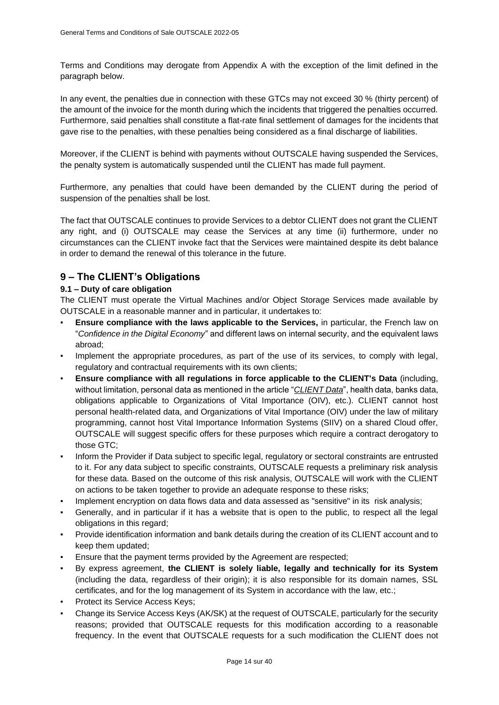Terms and Conditions may derogate from Appendix A with the exception of the limit defined in the paragraph below.

In any event, the penalties due in connection with these GTCs may not exceed 30 % (thirty percent) of the amount of the invoice for the month during which the incidents that triggered the penalties occurred. Furthermore, said penalties shall constitute a flat-rate final settlement of damages for the incidents that gave rise to the penalties, with these penalties being considered as a final discharge of liabilities.

Moreover, if the CLIENT is behind with payments without OUTSCALE having suspended the Services, the penalty system is automatically suspended until the CLIENT has made full payment.

Furthermore, any penalties that could have been demanded by the CLIENT during the period of suspension of the penalties shall be lost.

The fact that OUTSCALE continues to provide Services to a debtor CLIENT does not grant the CLIENT any right, and (i) OUTSCALE may cease the Services at any time (ii) furthermore, under no circumstances can the CLIENT invoke fact that the Services were maintained despite its debt balance in order to demand the renewal of this tolerance in the future.

# **9 – The CLIENT's Obligations**

## **9.1 – Duty of care obligation**

The CLIENT must operate the Virtual Machines and/or Object Storage Services made available by OUTSCALE in a reasonable manner and in particular, it undertakes to:

- **Ensure compliance with the laws applicable to the Services, in particular, the French law on** "*Confidence in the Digital Economy*" and different laws on internal security, and the equivalent laws abroad;
- Implement the appropriate procedures, as part of the use of its services, to comply with legal, regulatory and contractual requirements with its own clients;
- **Ensure compliance with all regulations in force applicable to the CLIENT's Data** (including, without limitation, personal data as mentioned in the article "*[CLIENT Data](#page-21-0)*", health data, banks data, obligations applicable to Organizations of Vital Importance (OIV), etc.). CLIENT cannot host personal health-related data, and Organizations of Vital Importance (OIV) under the law of military programming, cannot host Vital Importance Information Systems (SIIV) on a shared Cloud offer, OUTSCALE will suggest specific offers for these purposes which require a contract derogatory to those GTC;
- Inform the Provider if Data subject to specific legal, regulatory or sectoral constraints are entrusted to it. For any data subject to specific constraints, OUTSCALE requests a preliminary risk analysis for these data. Based on the outcome of this risk analysis, OUTSCALE will work with the CLIENT on actions to be taken together to provide an adequate response to these risks;
- Implement encryption on data flows data and data assessed as "sensitive" in its risk analysis;
- Generally, and in particular if it has a website that is open to the public, to respect all the legal obligations in this regard;
- Provide identification information and bank details during the creation of its CLIENT account and to keep them updated;
- Ensure that the payment terms provided by the Agreement are respected;
- By express agreement, the CLIENT is solely liable, legally and technically for its System (including the data, regardless of their origin); it is also responsible for its domain names, SSL certificates, and for the log management of its System in accordance with the law, etc.;
- Protect its Service Access Keys;
- Change its Service Access Keys (AK/SK) at the request of OUTSCALE, particularly for the security reasons; provided that OUTSCALE requests for this modification according to a reasonable frequency. In the event that OUTSCALE requests for a such modification the CLIENT does not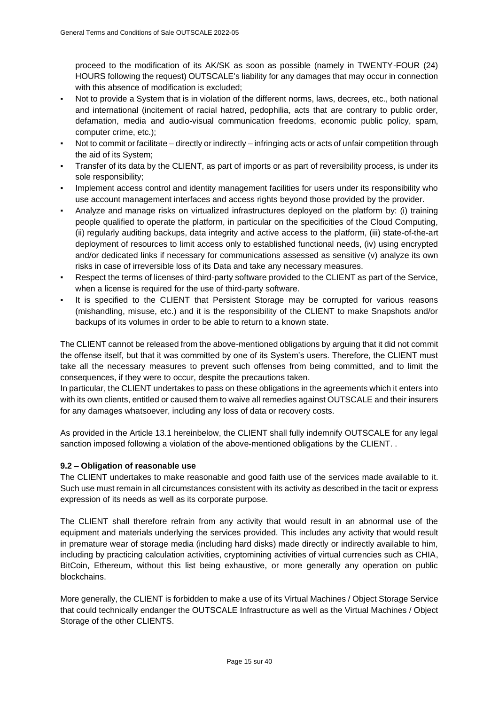proceed to the modification of its AK/SK as soon as possible (namely in TWENTY-FOUR (24) HOURS following the request) OUTSCALE's liability for any damages that may occur in connection with this absence of modification is excluded;

- Not to provide a System that is in violation of the different norms, laws, decrees, etc., both national and international (incitement of racial hatred, pedophilia, acts that are contrary to public order, defamation, media and audio-visual communication freedoms, economic public policy, spam, computer crime, etc.);
- Not to commit or facilitate directly or indirectly infringing acts or acts of unfair competition through the aid of its System;
- Transfer of its data by the CLIENT, as part of imports or as part of reversibility process, is under its sole responsibility;
- Implement access control and identity management facilities for users under its responsibility who use account management interfaces and access rights beyond those provided by the provider.
- Analyze and manage risks on virtualized infrastructures deployed on the platform by: (i) training people qualified to operate the platform, in particular on the specificities of the Cloud Computing, (ii) regularly auditing backups, data integrity and active access to the platform, (iii) state-of-the-art deployment of resources to limit access only to established functional needs, (iv) using encrypted and/or dedicated links if necessary for communications assessed as sensitive (v) analyze its own risks in case of irreversible loss of its Data and take any necessary measures.
- Respect the terms of licenses of third-party software provided to the CLIENT as part of the Service, when a license is required for the use of third-party software.
- It is specified to the CLIENT that Persistent Storage may be corrupted for various reasons (mishandling, misuse, etc.) and it is the responsibility of the CLIENT to make Snapshots and/or backups of its volumes in order to be able to return to a known state.

The CLIENT cannot be released from the above-mentioned obligations by arguing that it did not commit the offense itself, but that it was committed by one of its System's users. Therefore, the CLIENT must take all the necessary measures to prevent such offenses from being committed, and to limit the consequences, if they were to occur, despite the precautions taken.

In particular, the CLIENT undertakes to pass on these obligations in the agreements which it enters into with its own clients, entitled or caused them to waive all remedies against OUTSCALE and their insurers for any damages whatsoever, including any loss of data or recovery costs.

As provided in the Article 13.1 hereinbelow, the CLIENT shall fully indemnify OUTSCALE for any legal sanction imposed following a violation of the above-mentioned obligations by the CLIENT. .

#### **9.2 – Obligation of reasonable use**

The CLIENT undertakes to make reasonable and good faith use of the services made available to it. Such use must remain in all circumstances consistent with its activity as described in the tacit or express expression of its needs as well as its corporate purpose.

The CLIENT shall therefore refrain from any activity that would result in an abnormal use of the equipment and materials underlying the services provided. This includes any activity that would result in premature wear of storage media (including hard disks) made directly or indirectly available to him, including by practicing calculation activities, cryptomining activities of virtual currencies such as CHIA, BitCoin, Ethereum, without this list being exhaustive, or more generally any operation on public **blockchains** 

More generally, the CLIENT is forbidden to make a use of its Virtual Machines / Object Storage Service that could technically endanger the OUTSCALE Infrastructure as well as the Virtual Machines / Object Storage of the other CLIENTS.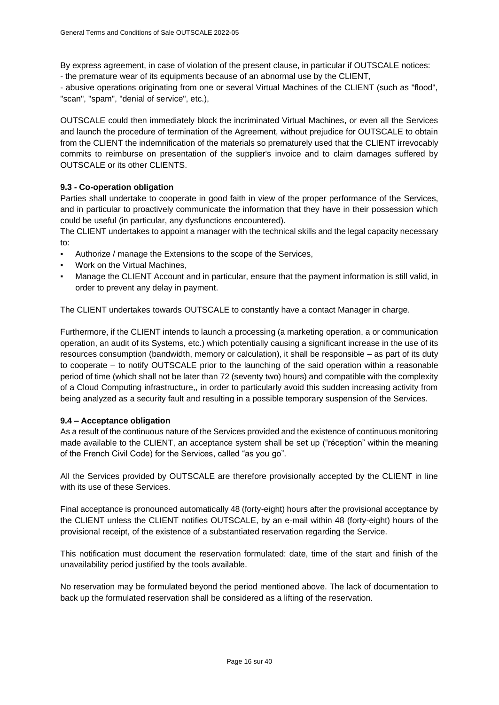By express agreement, in case of violation of the present clause, in particular if OUTSCALE notices: - the premature wear of its equipments because of an abnormal use by the CLIENT,

- abusive operations originating from one or several Virtual Machines of the CLIENT (such as "flood", "scan", "spam", "denial of service", etc.),

OUTSCALE could then immediately block the incriminated Virtual Machines, or even all the Services and launch the procedure of termination of the Agreement, without prejudice for OUTSCALE to obtain from the CLIENT the indemnification of the materials so prematurely used that the CLIENT irrevocably commits to reimburse on presentation of the supplier's invoice and to claim damages suffered by OUTSCALE or its other CLIENTS.

## **9.3 - Co-operation obligation**

Parties shall undertake to cooperate in good faith in view of the proper performance of the Services, and in particular to proactively communicate the information that they have in their possession which could be useful (in particular, any dysfunctions encountered).

The CLIENT undertakes to appoint a manager with the technical skills and the legal capacity necessary to:

- Authorize / manage the Extensions to the scope of the Services,
- Work on the Virtual Machines,
- Manage the CLIENT Account and in particular, ensure that the payment information is still valid, in order to prevent any delay in payment.

The CLIENT undertakes towards OUTSCALE to constantly have a contact Manager in charge.

Furthermore, if the CLIENT intends to launch a processing (a marketing operation, a or communication operation, an audit of its Systems, etc.) which potentially causing a significant increase in the use of its resources consumption (bandwidth, memory or calculation), it shall be responsible – as part of its duty to cooperate – to notify OUTSCALE prior to the launching of the said operation within a reasonable period of time (which shall not be later than 72 (seventy two) hours) and compatible with the complexity of a Cloud Computing infrastructure,, in order to particularly avoid this sudden increasing activity from being analyzed as a security fault and resulting in a possible temporary suspension of the Services.

## <span id="page-15-0"></span>**9.4 – Acceptance obligation**

As a result of the continuous nature of the Services provided and the existence of continuous monitoring made available to the CLIENT, an acceptance system shall be set up ("réception" within the meaning of the French Civil Code) for the Services, called "as you go".

All the Services provided by OUTSCALE are therefore provisionally accepted by the CLIENT in line with its use of these Services.

Final acceptance is pronounced automatically 48 (forty-eight) hours after the provisional acceptance by the CLIENT unless the CLIENT notifies OUTSCALE, by an e-mail within 48 (forty-eight) hours of the provisional receipt, of the existence of a substantiated reservation regarding the Service.

This notification must document the reservation formulated: date, time of the start and finish of the unavailability period justified by the tools available.

No reservation may be formulated beyond the period mentioned above. The lack of documentation to back up the formulated reservation shall be considered as a lifting of the reservation.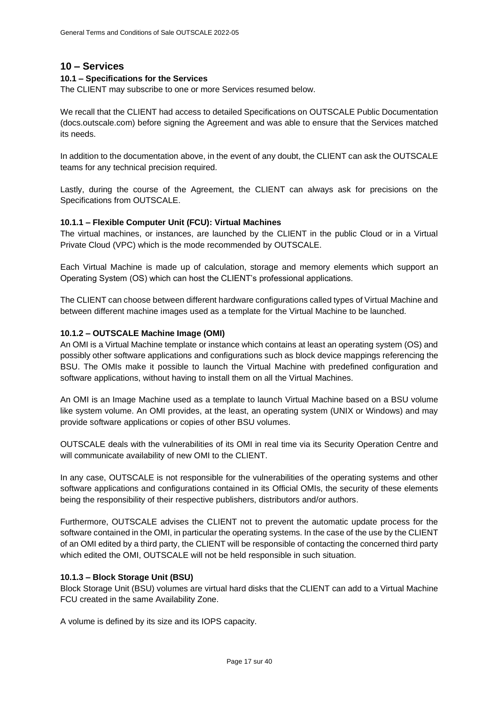## **10 – Services**

## **10.1 – Specifications for the Services**

The CLIENT may subscribe to one or more Services resumed below.

We recall that the CLIENT had access to detailed Specifications on OUTSCALE Public Documentation (docs.outscale.com) before signing the Agreement and was able to ensure that the Services matched its needs.

In addition to the documentation above, in the event of any doubt, the CLIENT can ask the OUTSCALE teams for any technical precision required.

Lastly, during the course of the Agreement, the CLIENT can always ask for precisions on the Specifications from OUTSCALE.

## **10.1.1 – Flexible Computer Unit (FCU): Virtual Machines**

The virtual machines, or instances, are launched by the CLIENT in the public Cloud or in a Virtual Private Cloud (VPC) which is the mode recommended by OUTSCALE.

Each Virtual Machine is made up of calculation, storage and memory elements which support an Operating System (OS) which can host the CLIENT's professional applications.

The CLIENT can choose between different hardware configurations called types of Virtual Machine and between different machine images used as a template for the Virtual Machine to be launched.

## **10.1.2 – OUTSCALE Machine Image (OMI)**

An OMI is a Virtual Machine template or instance which contains at least an operating system (OS) and possibly other software applications and configurations such as block device mappings referencing the BSU. The OMIs make it possible to launch the Virtual Machine with predefined configuration and software applications, without having to install them on all the Virtual Machines.

An OMI is an Image Machine used as a template to launch Virtual Machine based on a BSU volume like system volume. An OMI provides, at the least, an operating system (UNIX or Windows) and may provide software applications or copies of other BSU volumes.

OUTSCALE deals with the vulnerabilities of its OMI in real time via its Security Operation Centre and will communicate availability of new OMI to the CLIENT.

In any case, OUTSCALE is not responsible for the vulnerabilities of the operating systems and other software applications and configurations contained in its Official OMIs, the security of these elements being the responsibility of their respective publishers, distributors and/or authors.

Furthermore, OUTSCALE advises the CLIENT not to prevent the automatic update process for the software contained in the OMI, in particular the operating systems. In the case of the use by the CLIENT of an OMI edited by a third party, the CLIENT will be responsible of contacting the concerned third party which edited the OMI, OUTSCALE will not be held responsible in such situation.

#### **10.1.3 – Block Storage Unit (BSU)**

Block Storage Unit (BSU) volumes are virtual hard disks that the CLIENT can add to a Virtual Machine FCU created in the same Availability Zone.

A volume is defined by its size and its IOPS capacity.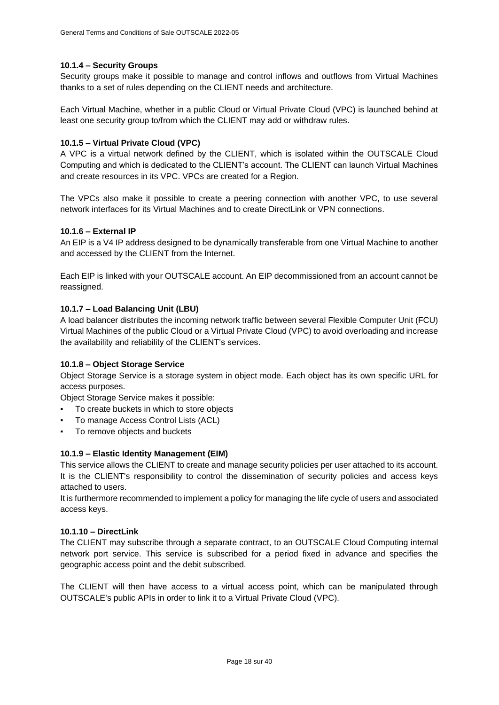## **10.1.4 – Security Groups**

Security groups make it possible to manage and control inflows and outflows from Virtual Machines thanks to a set of rules depending on the CLIENT needs and architecture.

Each Virtual Machine, whether in a public Cloud or Virtual Private Cloud (VPC) is launched behind at least one security group to/from which the CLIENT may add or withdraw rules.

## **10.1.5 – Virtual Private Cloud (VPC)**

A VPC is a virtual network defined by the CLIENT, which is isolated within the OUTSCALE Cloud Computing and which is dedicated to the CLIENT's account. The CLIENT can launch Virtual Machines and create resources in its VPC. VPCs are created for a Region.

The VPCs also make it possible to create a peering connection with another VPC, to use several network interfaces for its Virtual Machines and to create DirectLink or VPN connections.

## **10.1.6 – External IP**

An EIP is a V4 IP address designed to be dynamically transferable from one Virtual Machine to another and accessed by the CLIENT from the Internet.

Each EIP is linked with your OUTSCALE account. An EIP decommissioned from an account cannot be reassigned.

## **10.1.7 – Load Balancing Unit (LBU)**

A load balancer distributes the incoming network traffic between several Flexible Computer Unit (FCU) Virtual Machines of the public Cloud or a Virtual Private Cloud (VPC) to avoid overloading and increase the availability and reliability of the CLIENT's services.

## **10.1.8 – Object Storage Service**

Object Storage Service is a storage system in object mode. Each object has its own specific URL for access purposes.

Object Storage Service makes it possible:

- To create buckets in which to store objects
- To manage Access Control Lists (ACL)
- To remove objects and buckets

## **10.1.9 – Elastic Identity Management (EIM)**

This service allows the CLIENT to create and manage security policies per user attached to its account. It is the CLIENT's responsibility to control the dissemination of security policies and access keys attached to users.

It is furthermore recommended to implement a policy for managing the life cycle of users and associated access keys.

## **10.1.10 – DirectLink**

The CLIENT may subscribe through a separate contract, to an OUTSCALE Cloud Computing internal network port service. This service is subscribed for a period fixed in advance and specifies the geographic access point and the debit subscribed.

The CLIENT will then have access to a virtual access point, which can be manipulated through OUTSCALE's public APIs in order to link it to a Virtual Private Cloud (VPC).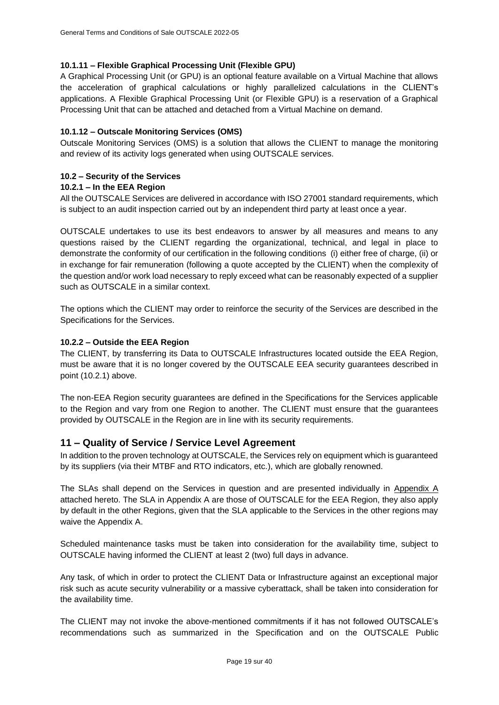## **10.1.11 – Flexible Graphical Processing Unit (Flexible GPU)**

A Graphical Processing Unit (or GPU) is an optional feature available on a Virtual Machine that allows the acceleration of graphical calculations or highly parallelized calculations in the CLIENT's applications. A Flexible Graphical Processing Unit (or Flexible GPU) is a reservation of a Graphical Processing Unit that can be attached and detached from a Virtual Machine on demand.

## **10.1.12 – Outscale Monitoring Services (OMS)**

Outscale Monitoring Services (OMS) is a solution that allows the CLIENT to manage the monitoring and review of its activity logs generated when using OUTSCALE services.

## **10.2 – Security of the Services**

## **10.2.1 – In the EEA Region**

All the OUTSCALE Services are delivered in accordance with ISO 27001 standard requirements, which is subject to an audit inspection carried out by an independent third party at least once a year.

OUTSCALE undertakes to use its best endeavors to answer by all measures and means to any questions raised by the CLIENT regarding the organizational, technical, and legal in place to demonstrate the conformity of our certification in the following conditions (i) either free of charge, (ii) or in exchange for fair remuneration (following a quote accepted by the CLIENT) when the complexity of the question and/or work load necessary to reply exceed what can be reasonably expected of a supplier such as OUTSCALE in a similar context.

The options which the CLIENT may order to reinforce the security of the Services are described in the Specifications for the Services.

## **10.2.2 – Outside the EEA Region**

The CLIENT, by transferring its Data to OUTSCALE Infrastructures located outside the EEA Region, must be aware that it is no longer covered by the OUTSCALE EEA security guarantees described in point (10.2.1) above.

The non-EEA Region security guarantees are defined in the Specifications for the Services applicable to the Region and vary from one Region to another. The CLIENT must ensure that the guarantees provided by OUTSCALE in the Region are in line with its security requirements.

## <span id="page-18-0"></span>**11 – Quality of Service / Service Level Agreement**

In addition to the proven technology at OUTSCALE, the Services rely on equipment which is guaranteed by its suppliers (via their MTBF and RTO indicators, etc.), which are globally renowned.

The SLAs shall depend on the Services in question and are presented individually in [Appendix A](#page-33-0) attached hereto. The SLA in Appendix A are those of OUTSCALE for the EEA Region, they also apply by default in the other Regions, given that the SLA applicable to the Services in the other regions may waive the Appendix A.

Scheduled maintenance tasks must be taken into consideration for the availability time, subject to OUTSCALE having informed the CLIENT at least 2 (two) full days in advance.

Any task, of which in order to protect the CLIENT Data or Infrastructure against an exceptional major risk such as acute security vulnerability or a massive cyberattack, shall be taken into consideration for the availability time.

The CLIENT may not invoke the above-mentioned commitments if it has not followed OUTSCALE's recommendations such as summarized in the Specification and on the OUTSCALE Public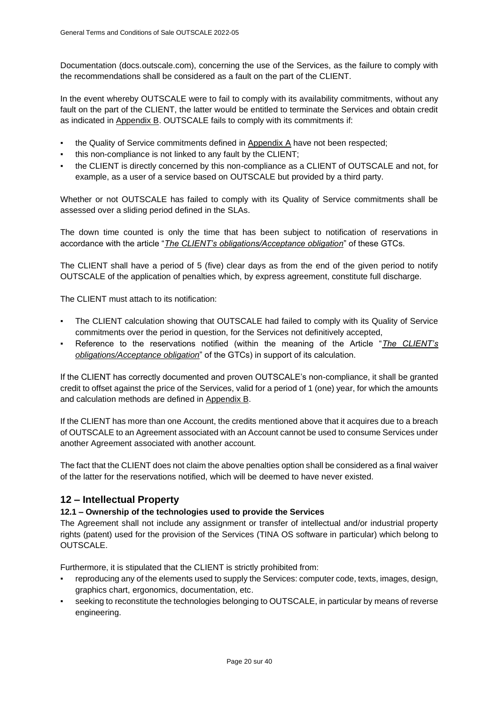Documentation (docs.outscale.com), concerning the use of the Services, as the failure to comply with the recommendations shall be considered as a fault on the part of the CLIENT.

In the event whereby OUTSCALE were to fail to comply with its availability commitments, without any fault on the part of the CLIENT, the latter would be entitled to terminate the Services and obtain credit as indicated in [Appendix B.](#page-38-0) OUTSCALE fails to comply with its commitments if:

- the Quality of Service commitments defined in [Appendix A](#page-33-0) have not been respected;
- this non-compliance is not linked to any fault by the CLIENT;
- the CLIENT is directly concerned by this non-compliance as a CLIENT of OUTSCALE and not, for example, as a user of a service based on OUTSCALE but provided by a third party.

Whether or not OUTSCALE has failed to comply with its Quality of Service commitments shall be assessed over a sliding period defined in the SLAs.

The down time counted is only the time that has been subject to notification of reservations in accordance with the article "*[The CLIENT's obligations/Acceptance obligation](#page-15-0)*" of these GTCs.

The CLIENT shall have a period of 5 (five) clear days as from the end of the given period to notify OUTSCALE of the application of penalties which, by express agreement, constitute full discharge.

The CLIENT must attach to its notification:

- The CLIENT calculation showing that OUTSCALE had failed to comply with its Quality of Service commitments over the period in question, for the Services not definitively accepted,
- Reference to the reservations notified (within the meaning of the Article "*The CLIENT's [obligations/Acceptance obligation](#page-15-0)*" of the GTCs) in support of its calculation.

If the CLIENT has correctly documented and proven OUTSCALE's non-compliance, it shall be granted credit to offset against the price of the Services, valid for a period of 1 (one) year, for which the amounts and calculation methods are defined in [Appendix B.](#page-38-0)

If the CLIENT has more than one Account, the credits mentioned above that it acquires due to a breach of OUTSCALE to an Agreement associated with an Account cannot be used to consume Services under another Agreement associated with another account.

The fact that the CLIENT does not claim the above penalties option shall be considered as a final waiver of the latter for the reservations notified, which will be deemed to have never existed.

# <span id="page-19-0"></span>**12 – Intellectual Property**

## **12.1 – Ownership of the technologies used to provide the Services**

The Agreement shall not include any assignment or transfer of intellectual and/or industrial property rights (patent) used for the provision of the Services (TINA OS software in particular) which belong to OUTSCALE.

Furthermore, it is stipulated that the CLIENT is strictly prohibited from:

- reproducing any of the elements used to supply the Services: computer code, texts, images, design, graphics chart, ergonomics, documentation, etc.
- seeking to reconstitute the technologies belonging to OUTSCALE, in particular by means of reverse engineering.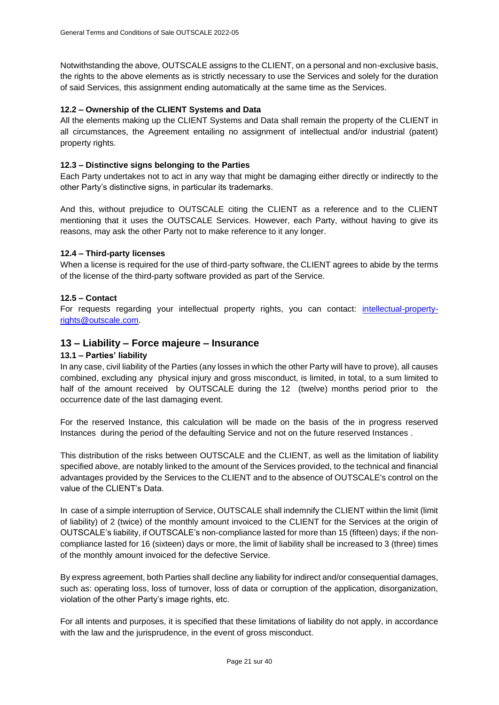Notwithstanding the above, OUTSCALE assigns to the CLIENT, on a personal and non-exclusive basis, the rights to the above elements as is strictly necessary to use the Services and solely for the duration of said Services, this assignment ending automatically at the same time as the Services.

## **12.2 – Ownership of the CLIENT Systems and Data**

All the elements making up the CLIENT Systems and Data shall remain the property of the CLIENT in all circumstances, the Agreement entailing no assignment of intellectual and/or industrial (patent) property rights.

#### **12.3 – Distinctive signs belonging to the Parties**

Each Party undertakes not to act in any way that might be damaging either directly or indirectly to the other Party's distinctive signs, in particular its trademarks.

And this, without prejudice to OUTSCALE citing the CLIENT as a reference and to the CLIENT mentioning that it uses the OUTSCALE Services. However, each Party, without having to give its reasons, may ask the other Party not to make reference to it any longer.

## **12.4 – Third-party licenses**

When a license is required for the use of third-party software, the CLIENT agrees to abide by the terms of the license of the third-party software provided as part of the Service.

## **12.5 – Contact**

For requests regarding your intellectual property rights, you can contact: *[intellectual-property](mailto:intellectual-property-rights@outscale.com)*[rights@outscale.com.](mailto:intellectual-property-rights@outscale.com)

## **13 – Liability – Force majeure – Insurance**

## **13.1 – Parties' liability**

In any case, civil liability of the Parties (any losses in which the other Party will have to prove), all causes combined, excluding any physical injury and gross misconduct, is limited, in total, to a sum limited to half of the amount received by OUTSCALE during the 12 (twelve) months period prior to the occurrence date of the last damaging event.

For the reserved Instance, this calculation will be made on the basis of the in progress reserved Instances during the period of the defaulting Service and not on the future reserved Instances .

This distribution of the risks between OUTSCALE and the CLIENT, as well as the limitation of liability specified above, are notably linked to the amount of the Services provided, to the technical and financial advantages provided by the Services to the CLIENT and to the absence of OUTSCALE's control on the value of the CLIENT's Data.

In case of a simple interruption of Service, OUTSCALE shall indemnify the CLIENT within the limit (limit of liability) of 2 (twice) of the monthly amount invoiced to the CLIENT for the Services at the origin of OUTSCALE's liability, if OUTSCALE's non-compliance lasted for more than 15 (fifteen) days; if the noncompliance lasted for 16 (sixteen) days or more, the limit of liability shall be increased to 3 (three) times of the monthly amount invoiced for the defective Service.

By express agreement, both Parties shall decline any liability for indirect and/or consequential damages, such as: operating loss, loss of turnover, loss of data or corruption of the application, disorganization, violation of the other Party's image rights, etc.

For all intents and purposes, it is specified that these limitations of liability do not apply, in accordance with the law and the jurisprudence, in the event of gross misconduct.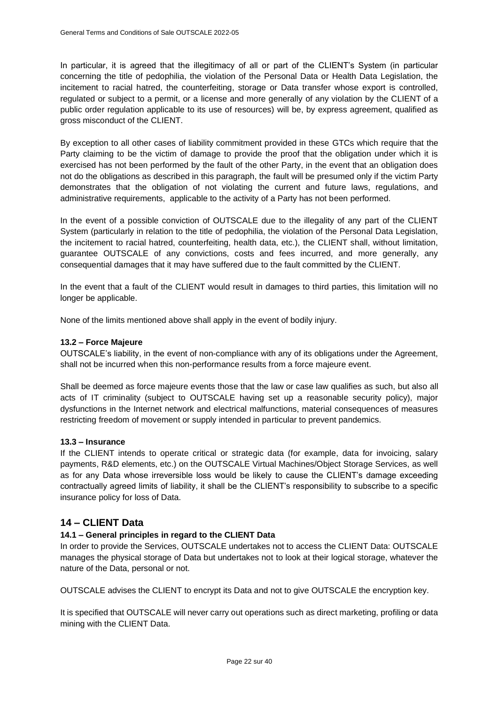In particular, it is agreed that the illegitimacy of all or part of the CLIENT's System (in particular concerning the title of pedophilia, the violation of the Personal Data or Health Data Legislation, the incitement to racial hatred, the counterfeiting, storage or Data transfer whose export is controlled, regulated or subject to a permit, or a license and more generally of any violation by the CLIENT of a public order regulation applicable to its use of resources) will be, by express agreement, qualified as gross misconduct of the CLIENT.

By exception to all other cases of liability commitment provided in these GTCs which require that the Party claiming to be the victim of damage to provide the proof that the obligation under which it is exercised has not been performed by the fault of the other Party, in the event that an obligation does not do the obligations as described in this paragraph, the fault will be presumed only if the victim Party demonstrates that the obligation of not violating the current and future laws, regulations, and administrative requirements, applicable to the activity of a Party has not been performed.

In the event of a possible conviction of OUTSCALE due to the illegality of any part of the CLIENT System (particularly in relation to the title of pedophilia, the violation of the Personal Data Legislation, the incitement to racial hatred, counterfeiting, health data, etc.), the CLIENT shall, without limitation, guarantee OUTSCALE of any convictions, costs and fees incurred, and more generally, any consequential damages that it may have suffered due to the fault committed by the CLIENT.

In the event that a fault of the CLIENT would result in damages to third parties, this limitation will no longer be applicable.

None of the limits mentioned above shall apply in the event of bodily injury.

## **13.2 – Force Majeure**

OUTSCALE's liability, in the event of non-compliance with any of its obligations under the Agreement, shall not be incurred when this non-performance results from a force majeure event.

Shall be deemed as force majeure events those that the law or case law qualifies as such, but also all acts of IT criminality (subject to OUTSCALE having set up a reasonable security policy), major dysfunctions in the Internet network and electrical malfunctions, material consequences of measures restricting freedom of movement or supply intended in particular to prevent pandemics.

#### **13.3 – Insurance**

If the CLIENT intends to operate critical or strategic data (for example, data for invoicing, salary payments, R&D elements, etc.) on the OUTSCALE Virtual Machines/Object Storage Services, as well as for any Data whose irreversible loss would be likely to cause the CLIENT's damage exceeding contractually agreed limits of liability, it shall be the CLIENT's responsibility to subscribe to a specific insurance policy for loss of Data.

# <span id="page-21-0"></span>**14 – CLIENT Data**

## **14.1 – General principles in regard to the CLIENT Data**

In order to provide the Services, OUTSCALE undertakes not to access the CLIENT Data: OUTSCALE manages the physical storage of Data but undertakes not to look at their logical storage, whatever the nature of the Data, personal or not.

OUTSCALE advises the CLIENT to encrypt its Data and not to give OUTSCALE the encryption key.

It is specified that OUTSCALE will never carry out operations such as direct marketing, profiling or data mining with the CLIENT Data.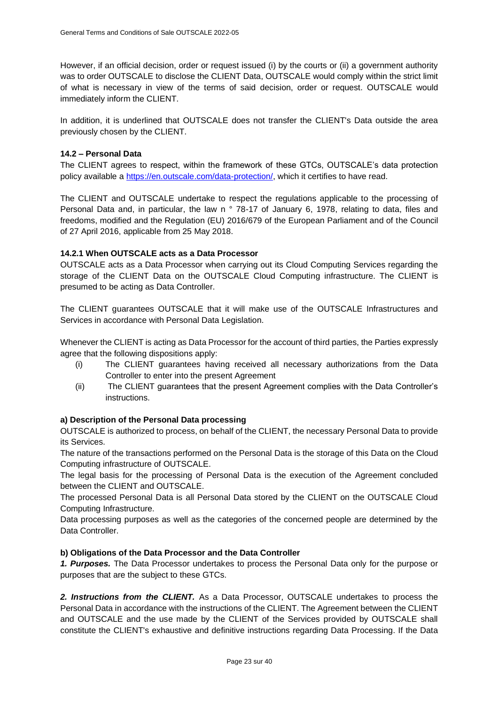However, if an official decision, order or request issued (i) by the courts or (ii) a government authority was to order OUTSCALE to disclose the CLIENT Data, OUTSCALE would comply within the strict limit of what is necessary in view of the terms of said decision, order or request. OUTSCALE would immediately inform the CLIENT.

In addition, it is underlined that OUTSCALE does not transfer the CLIENT's Data outside the area previously chosen by the CLIENT.

## **14.2 – Personal Data**

The CLIENT agrees to respect, within the framework of these GTCs, OUTSCALE's data protection policy available a [https://en.outscale.com/data-protection/,](https://en.outscale.com/data-protection/) which it certifies to have read.

The CLIENT and OUTSCALE undertake to respect the regulations applicable to the processing of Personal Data and, in particular, the law n ° 78-17 of January 6, 1978, relating to data, files and freedoms, modified and the Regulation (EU) 2016/679 of the European Parliament and of the Council of 27 April 2016, applicable from 25 May 2018.

## **14.2.1 When OUTSCALE acts as a Data Processor**

OUTSCALE acts as a Data Processor when carrying out its Cloud Computing Services regarding the storage of the CLIENT Data on the OUTSCALE Cloud Computing infrastructure. The CLIENT is presumed to be acting as Data Controller.

The CLIENT guarantees OUTSCALE that it will make use of the OUTSCALE Infrastructures and Services in accordance with Personal Data Legislation.

Whenever the CLIENT is acting as Data Processor for the account of third parties, the Parties expressly agree that the following dispositions apply:

- (i) The CLIENT guarantees having received all necessary authorizations from the Data Controller to enter into the present Agreement
- (ii) The CLIENT guarantees that the present Agreement complies with the Data Controller's instructions.

#### **a) Description of the Personal Data processing**

OUTSCALE is authorized to process, on behalf of the CLIENT, the necessary Personal Data to provide its Services.

The nature of the transactions performed on the Personal Data is the storage of this Data on the Cloud Computing infrastructure of OUTSCALE.

The legal basis for the processing of Personal Data is the execution of the Agreement concluded between the CLIENT and OUTSCALE.

The processed Personal Data is all Personal Data stored by the CLIENT on the OUTSCALE Cloud Computing Infrastructure.

Data processing purposes as well as the categories of the concerned people are determined by the Data Controller.

#### **b) Obligations of the Data Processor and the Data Controller**

*1. Purposes.* The Data Processor undertakes to process the Personal Data only for the purpose or purposes that are the subject to these GTCs.

*2. Instructions from the CLIENT.* As a Data Processor, OUTSCALE undertakes to process the Personal Data in accordance with the instructions of the CLIENT. The Agreement between the CLIENT and OUTSCALE and the use made by the CLIENT of the Services provided by OUTSCALE shall constitute the CLIENT's exhaustive and definitive instructions regarding Data Processing. If the Data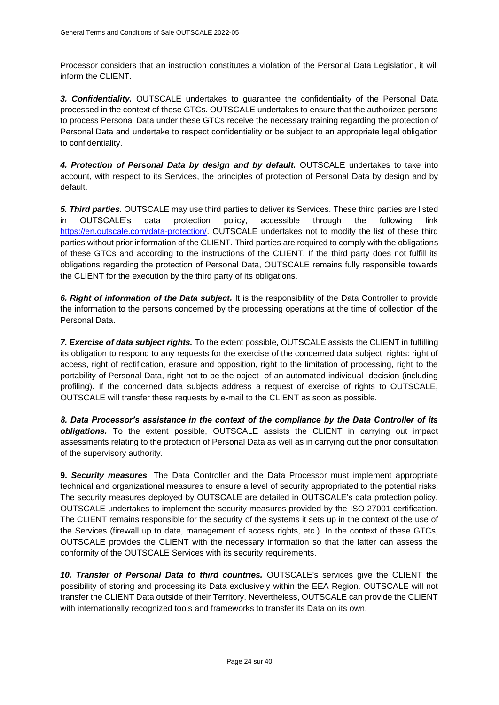Processor considers that an instruction constitutes a violation of the Personal Data Legislation, it will inform the CLIENT.

*3. Confidentiality.* OUTSCALE undertakes to guarantee the confidentiality of the Personal Data processed in the context of these GTCs. OUTSCALE undertakes to ensure that the authorized persons to process Personal Data under these GTCs receive the necessary training regarding the protection of Personal Data and undertake to respect confidentiality or be subject to an appropriate legal obligation to confidentiality.

*4. Protection of Personal Data by design and by default.* OUTSCALE undertakes to take into account, with respect to its Services, the principles of protection of Personal Data by design and by default.

*5. Third parties.* OUTSCALE may use third parties to deliver its Services. These third parties are listed in OUTSCALE's data protection policy, accessible through the following link [https://en.outscale.com/data-protection/.](https://en.outscale.com/data-protection/) OUTSCALE undertakes not to modify the list of these third parties without prior information of the CLIENT. Third parties are required to comply with the obligations of these GTCs and according to the instructions of the CLIENT. If the third party does not fulfill its obligations regarding the protection of Personal Data, OUTSCALE remains fully responsible towards the CLIENT for the execution by the third party of its obligations.

*6. Right of information of the Data subject.* It is the responsibility of the Data Controller to provide the information to the persons concerned by the processing operations at the time of collection of the Personal Data.

*7. Exercise of data subject rights.* To the extent possible, OUTSCALE assists the CLIENT in fulfilling its obligation to respond to any requests for the exercise of the concerned data subject rights: right of access, right of rectification, erasure and opposition, right to the limitation of processing, right to the portability of Personal Data, right not to be the object of an automated individual decision (including profiling). If the concerned data subjects address a request of exercise of rights to OUTSCALE, OUTSCALE will transfer these requests by e-mail to the CLIENT as soon as possible.

*8. Data Processor's assistance in the context of the compliance by the Data Controller of its obligations.* To the extent possible, OUTSCALE assists the CLIENT in carrying out impact assessments relating to the protection of Personal Data as well as in carrying out the prior consultation of the supervisory authority.

**9.** *Security measures.* The Data Controller and the Data Processor must implement appropriate technical and organizational measures to ensure a level of security appropriated to the potential risks. The security measures deployed by OUTSCALE are detailed in OUTSCALE's data protection policy. OUTSCALE undertakes to implement the security measures provided by the ISO 27001 certification. The CLIENT remains responsible for the security of the systems it sets up in the context of the use of the Services (firewall up to date, management of access rights, etc.). In the context of these GTCs, OUTSCALE provides the CLIENT with the necessary information so that the latter can assess the conformity of the OUTSCALE Services with its security requirements.

*10. Transfer of Personal Data to third countries.* OUTSCALE's services give the CLIENT the possibility of storing and processing its Data exclusively within the EEA Region. OUTSCALE will not transfer the CLIENT Data outside of their Territory. Nevertheless, OUTSCALE can provide the CLIENT with internationally recognized tools and frameworks to transfer its Data on its own.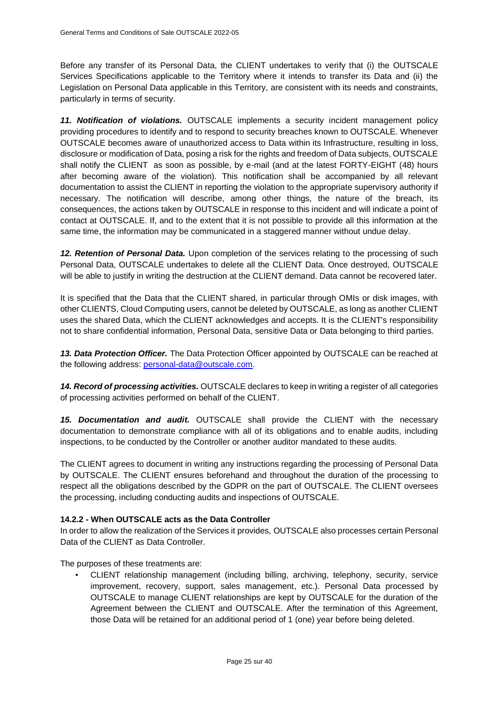Before any transfer of its Personal Data, the CLIENT undertakes to verify that (i) the OUTSCALE Services Specifications applicable to the Territory where it intends to transfer its Data and (ii) the Legislation on Personal Data applicable in this Territory, are consistent with its needs and constraints, particularly in terms of security.

*11. Notification of violations.* OUTSCALE implements a security incident management policy providing procedures to identify and to respond to security breaches known to OUTSCALE. Whenever OUTSCALE becomes aware of unauthorized access to Data within its Infrastructure, resulting in loss, disclosure or modification of Data, posing a risk for the rights and freedom of Data subjects, OUTSCALE shall notify the CLIENT as soon as possible, by e-mail (and at the latest FORTY-EIGHT (48) hours after becoming aware of the violation). This notification shall be accompanied by all relevant documentation to assist the CLIENT in reporting the violation to the appropriate supervisory authority if necessary. The notification will describe, among other things, the nature of the breach, its consequences, the actions taken by OUTSCALE in response to this incident and will indicate a point of contact at OUTSCALE. If, and to the extent that it is not possible to provide all this information at the same time, the information may be communicated in a staggered manner without undue delay.

*12. Retention of Personal Data.* Upon completion of the services relating to the processing of such Personal Data, OUTSCALE undertakes to delete all the CLIENT Data. Once destroyed, OUTSCALE will be able to justify in writing the destruction at the CLIENT demand. Data cannot be recovered later.

It is specified that the Data that the CLIENT shared, in particular through OMIs or disk images, with other CLIENTS, Cloud Computing users, cannot be deleted by OUTSCALE, as long as another CLIENT uses the shared Data, which the CLIENT acknowledges and accepts. It is the CLIENT's responsibility not to share confidential information, Personal Data, sensitive Data or Data belonging to third parties.

*13. Data Protection Officer.* The Data Protection Officer appointed by OUTSCALE can be reached at the following address: [personal-data@outscale.com.](mailto:personal-data@outscale.com)

*14. Record of processing activities.* OUTSCALE declares to keep in writing a register of all categories of processing activities performed on behalf of the CLIENT.

*15. Documentation and audit.* OUTSCALE shall provide the CLIENT with the necessary documentation to demonstrate compliance with all of its obligations and to enable audits, including inspections, to be conducted by the Controller or another auditor mandated to these audits.

The CLIENT agrees to document in writing any instructions regarding the processing of Personal Data by OUTSCALE. The CLIENT ensures beforehand and throughout the duration of the processing to respect all the obligations described by the GDPR on the part of OUTSCALE. The CLIENT oversees the processing, including conducting audits and inspections of OUTSCALE.

## **14.2.2 - When OUTSCALE acts as the Data Controller**

In order to allow the realization of the Services it provides, OUTSCALE also processes certain Personal Data of the CLIENT as Data Controller.

The purposes of these treatments are:

CLIENT relationship management (including billing, archiving, telephony, security, service improvement, recovery, support, sales management, etc.). Personal Data processed by OUTSCALE to manage CLIENT relationships are kept by OUTSCALE for the duration of the Agreement between the CLIENT and OUTSCALE. After the termination of this Agreement, those Data will be retained for an additional period of 1 (one) year before being deleted.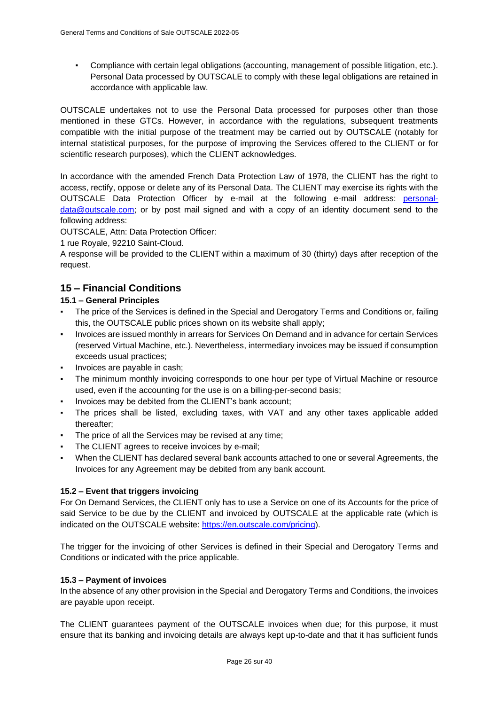Compliance with certain legal obligations (accounting, management of possible litigation, etc.). Personal Data processed by OUTSCALE to comply with these legal obligations are retained in accordance with applicable law.

OUTSCALE undertakes not to use the Personal Data processed for purposes other than those mentioned in these GTCs. However, in accordance with the regulations, subsequent treatments compatible with the initial purpose of the treatment may be carried out by OUTSCALE (notably for internal statistical purposes, for the purpose of improving the Services offered to the CLIENT or for scientific research purposes), which the CLIENT acknowledges.

In accordance with the amended French Data Protection Law of 1978, the CLIENT has the right to access, rectify, oppose or delete any of its Personal Data. The CLIENT may exercise its rights with the OUTSCALE Data Protection Officer by e-mail at the following e-mail address: [personal](mailto:personal-data@outscale.com)[data@outscale.com;](mailto:personal-data@outscale.com) or by post mail signed and with a copy of an identity document send to the following address:

OUTSCALE, Attn: Data Protection Officer:

1 rue Royale, 92210 Saint-Cloud.

A response will be provided to the CLIENT within a maximum of 30 (thirty) days after reception of the request.

# **15 – Financial Conditions**

## **15.1 – General Principles**

- The price of the Services is defined in the Special and Derogatory Terms and Conditions or, failing this, the OUTSCALE public prices shown on its website shall apply;
- Invoices are issued monthly in arrears for Services On Demand and in advance for certain Services (reserved Virtual Machine, etc.). Nevertheless, intermediary invoices may be issued if consumption exceeds usual practices;
- Invoices are payable in cash;
- The minimum monthly invoicing corresponds to one hour per type of Virtual Machine or resource used, even if the accounting for the use is on a billing-per-second basis;
- Invoices may be debited from the CLIENT's bank account;
- The prices shall be listed, excluding taxes, with VAT and any other taxes applicable added thereafter;
- The price of all the Services may be revised at any time;
- The CLIENT agrees to receive invoices by e-mail;
- When the CLIENT has declared several bank accounts attached to one or several Agreements, the Invoices for any Agreement may be debited from any bank account.

## **15.2 – Event that triggers invoicing**

For On Demand Services, the CLIENT only has to use a Service on one of its Accounts for the price of said Service to be due by the CLIENT and invoiced by OUTSCALE at the applicable rate (which is indicated on the OUTSCALE website: [https://en.outscale.com/pricing\)](https://en.outscale.com/pricing).

The trigger for the invoicing of other Services is defined in their Special and Derogatory Terms and Conditions or indicated with the price applicable.

#### **15.3 – Payment of invoices**

In the absence of any other provision in the Special and Derogatory Terms and Conditions, the invoices are payable upon receipt.

The CLIENT guarantees payment of the OUTSCALE invoices when due; for this purpose, it must ensure that its banking and invoicing details are always kept up-to-date and that it has sufficient funds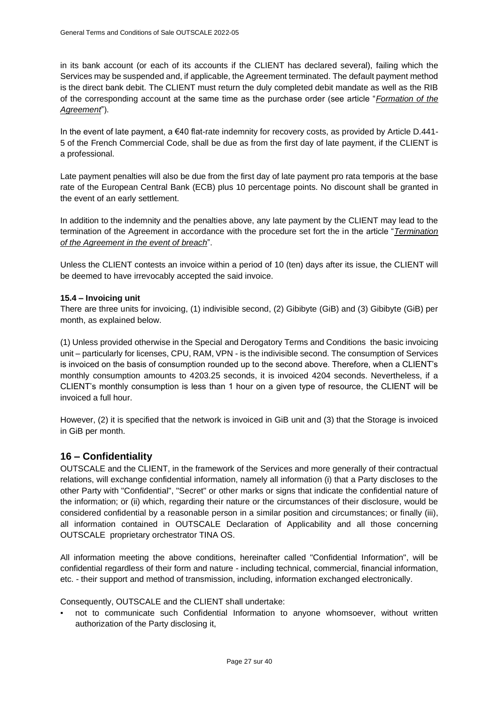in its bank account (or each of its accounts if the CLIENT has declared several), failing which the Services may be suspended and, if applicable, the Agreement terminated. The default payment method is the direct bank debit. The CLIENT must return the duly completed debit mandate as well as the RIB of the corresponding account at the same time as the purchase order (see article "*[Formation of the](#page-7-1)  [Agreement](#page-7-1)*").

In the event of late payment, a €40 flat-rate indemnity for recovery costs, as provided by Article D.441- 5 of the French Commercial Code, shall be due as from the first day of late payment, if the CLIENT is a professional.

Late payment penalties will also be due from the first day of late payment pro rata temporis at the base rate of the European Central Bank (ECB) plus 10 percentage points. No discount shall be granted in the event of an early settlement.

In addition to the indemnity and the penalties above, any late payment by the CLIENT may lead to the termination of the Agreement in accordance with the procedure set fort the in the article "*[Termination](#page-11-1)  [of the Agreement in the event of breach](#page-11-1)*".

Unless the CLIENT contests an invoice within a period of 10 (ten) days after its issue, the CLIENT will be deemed to have irrevocably accepted the said invoice.

## **15.4 – Invoicing unit**

There are three units for invoicing, (1) indivisible second, (2) Gibibyte (GiB) and (3) Gibibyte (GiB) per month, as explained below.

(1) Unless provided otherwise in the Special and Derogatory Terms and Conditions the basic invoicing unit – particularly for licenses, CPU, RAM, VPN - is the indivisible second. The consumption of Services is invoiced on the basis of consumption rounded up to the second above. Therefore, when a CLIENT's monthly consumption amounts to 4203.25 seconds, it is invoiced 4204 seconds. Nevertheless, if a CLIENT's monthly consumption is less than 1 hour on a given type of resource, the CLIENT will be invoiced a full hour.

However, (2) it is specified that the network is invoiced in GiB unit and (3) that the Storage is invoiced in GiB per month.

## **16 – Confidentiality**

OUTSCALE and the CLIENT, in the framework of the Services and more generally of their contractual relations, will exchange confidential information, namely all information (i) that a Party discloses to the other Party with "Confidential", "Secret" or other marks or signs that indicate the confidential nature of the information; or (ii) which, regarding their nature or the circumstances of their disclosure, would be considered confidential by a reasonable person in a similar position and circumstances; or finally (iii), all information contained in OUTSCALE Declaration of Applicability and all those concerning OUTSCALE proprietary orchestrator TINA OS.

All information meeting the above conditions, hereinafter called "Confidential Information", will be confidential regardless of their form and nature - including technical, commercial, financial information, etc. - their support and method of transmission, including, information exchanged electronically.

Consequently, OUTSCALE and the CLIENT shall undertake:

not to communicate such Confidential Information to anyone whomsoever, without written authorization of the Party disclosing it,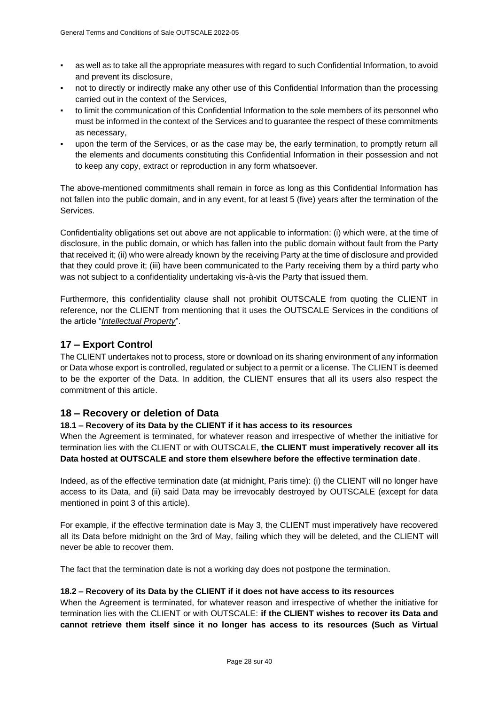- as well as to take all the appropriate measures with regard to such Confidential Information, to avoid and prevent its disclosure,
- not to directly or indirectly make any other use of this Confidential Information than the processing carried out in the context of the Services,
- to limit the communication of this Confidential Information to the sole members of its personnel who must be informed in the context of the Services and to guarantee the respect of these commitments as necessary,
- upon the term of the Services, or as the case may be, the early termination, to promptly return all the elements and documents constituting this Confidential Information in their possession and not to keep any copy, extract or reproduction in any form whatsoever.

The above-mentioned commitments shall remain in force as long as this Confidential Information has not fallen into the public domain, and in any event, for at least 5 (five) years after the termination of the Services.

Confidentiality obligations set out above are not applicable to information: (i) which were, at the time of disclosure, in the public domain, or which has fallen into the public domain without fault from the Party that received it; (ii) who were already known by the receiving Party at the time of disclosure and provided that they could prove it; (iii) have been communicated to the Party receiving them by a third party who was not subject to a confidentiality undertaking vis-à-vis the Party that issued them.

Furthermore, this confidentiality clause shall not prohibit OUTSCALE from quoting the CLIENT in reference, nor the CLIENT from mentioning that it uses the OUTSCALE Services in the conditions of the article "*[Intellectual Property](#page-19-0)*".

# **17 – Export Control**

The CLIENT undertakes not to process, store or download on its sharing environment of any information or Data whose export is controlled, regulated or subject to a permit or a license. The CLIENT is deemed to be the exporter of the Data. In addition, the CLIENT ensures that all its users also respect the commitment of this article.

# <span id="page-27-0"></span>**18 – Recovery or deletion of Data**

## **18.1 – Recovery of its Data by the CLIENT if it has access to its resources**

When the Agreement is terminated, for whatever reason and irrespective of whether the initiative for termination lies with the CLIENT or with OUTSCALE, **the CLIENT must imperatively recover all its Data hosted at OUTSCALE and store them elsewhere before the effective termination date**.

Indeed, as of the effective termination date (at midnight, Paris time): (i) the CLIENT will no longer have access to its Data, and (ii) said Data may be irrevocably destroyed by OUTSCALE (except for data mentioned in point 3 of this article).

For example, if the effective termination date is May 3, the CLIENT must imperatively have recovered all its Data before midnight on the 3rd of May, failing which they will be deleted, and the CLIENT will never be able to recover them.

The fact that the termination date is not a working day does not postpone the termination.

#### **18.2 – Recovery of its Data by the CLIENT if it does not have access to its resources**

When the Agreement is terminated, for whatever reason and irrespective of whether the initiative for termination lies with the CLIENT or with OUTSCALE: **if the CLIENT wishes to recover its Data and cannot retrieve them itself since it no longer has access to its resources (Such as Virtual**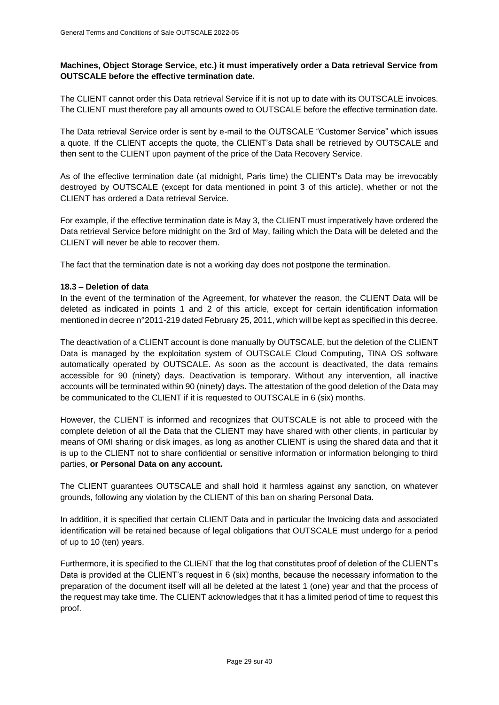## **Machines, Object Storage Service, etc.) it must imperatively order a Data retrieval Service from OUTSCALE before the effective termination date.**

The CLIENT cannot order this Data retrieval Service if it is not up to date with its OUTSCALE invoices. The CLIENT must therefore pay all amounts owed to OUTSCALE before the effective termination date.

The Data retrieval Service order is sent by e-mail to the OUTSCALE "Customer Service" which issues a quote. If the CLIENT accepts the quote, the CLIENT's Data shall be retrieved by OUTSCALE and then sent to the CLIENT upon payment of the price of the Data Recovery Service.

As of the effective termination date (at midnight, Paris time) the CLIENT's Data may be irrevocably destroyed by OUTSCALE (except for data mentioned in point 3 of this article), whether or not the CLIENT has ordered a Data retrieval Service.

For example, if the effective termination date is May 3, the CLIENT must imperatively have ordered the Data retrieval Service before midnight on the 3rd of May, failing which the Data will be deleted and the CLIENT will never be able to recover them.

The fact that the termination date is not a working day does not postpone the termination.

## **18.3 – Deletion of data**

In the event of the termination of the Agreement, for whatever the reason, the CLIENT Data will be deleted as indicated in points 1 and 2 of this article, except for certain identification information mentioned in decree n°2011-219 dated February 25, 2011, which will be kept as specified in this decree.

The deactivation of a CLIENT account is done manually by OUTSCALE, but the deletion of the CLIENT Data is managed by the exploitation system of OUTSCALE Cloud Computing, TINA OS software automatically operated by OUTSCALE. As soon as the account is deactivated, the data remains accessible for 90 (ninety) days. Deactivation is temporary. Without any intervention, all inactive accounts will be terminated within 90 (ninety) days. The attestation of the good deletion of the Data may be communicated to the CLIENT if it is requested to OUTSCALE in 6 (six) months.

However, the CLIENT is informed and recognizes that OUTSCALE is not able to proceed with the complete deletion of all the Data that the CLIENT may have shared with other clients, in particular by means of OMI sharing or disk images, as long as another CLIENT is using the shared data and that it is up to the CLIENT not to share confidential or sensitive information or information belonging to third parties, **or Personal Data on any account.**

The CLIENT guarantees OUTSCALE and shall hold it harmless against any sanction, on whatever grounds, following any violation by the CLIENT of this ban on sharing Personal Data.

In addition, it is specified that certain CLIENT Data and in particular the Invoicing data and associated identification will be retained because of legal obligations that OUTSCALE must undergo for a period of up to 10 (ten) years.

Furthermore, it is specified to the CLIENT that the log that constitutes proof of deletion of the CLIENT's Data is provided at the CLIENT's request in 6 (six) months, because the necessary information to the preparation of the document itself will all be deleted at the latest 1 (one) year and that the process of the request may take time. The CLIENT acknowledges that it has a limited period of time to request this proof.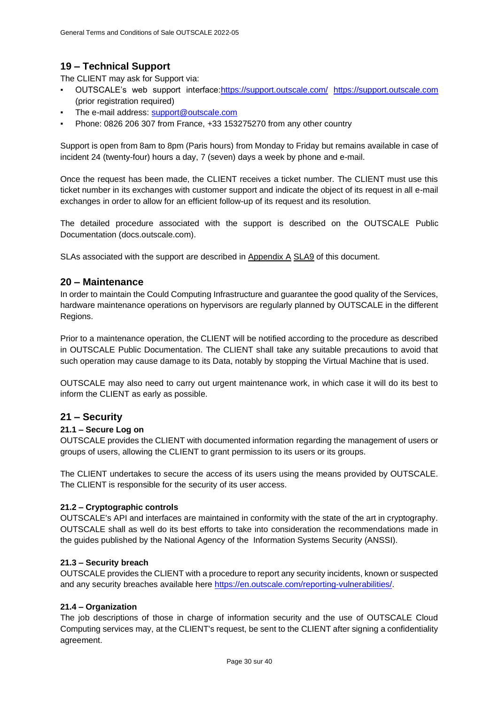# <span id="page-29-0"></span>**19 – Technical Support**

The CLIENT may ask for Support via:

- OUTSCALE's web support interface[:https://support.outscale.com/](https://support.outscale.com/) [https://support.outscale.com](https://support.outscale.com/) (prior registration required)
- The e-mail address: [support@outscale.com](mailto:support@outscale.com)
- Phone: 0826 206 307 from France, +33 153275270 from any other country

Support is open from 8am to 8pm (Paris hours) from Monday to Friday but remains available in case of incident 24 (twenty-four) hours a day, 7 (seven) days a week by phone and e-mail.

Once the request has been made, the CLIENT receives a ticket number. The CLIENT must use this ticket number in its exchanges with customer support and indicate the object of its request in all e-mail exchanges in order to allow for an efficient follow-up of its request and its resolution.

The detailed procedure associated with the support is described on the OUTSCALE Public Documentation (docs.outscale.com).

SLAs associated with the support are described in [Appendix A](#page-33-0) [SLA9](#page-36-0) of this document.

# **20 – Maintenance**

In order to maintain the Could Computing Infrastructure and guarantee the good quality of the Services, hardware maintenance operations on hypervisors are regularly planned by OUTSCALE in the different Regions.

Prior to a maintenance operation, the CLIENT will be notified according to the procedure as described in OUTSCALE Public Documentation. The CLIENT shall take any suitable precautions to avoid that such operation may cause damage to its Data, notably by stopping the Virtual Machine that is used.

OUTSCALE may also need to carry out urgent maintenance work, in which case it will do its best to inform the CLIENT as early as possible.

# **21 – Security**

## **21.1 – Secure Log on**

OUTSCALE provides the CLIENT with documented information regarding the management of users or groups of users, allowing the CLIENT to grant permission to its users or its groups.

The CLIENT undertakes to secure the access of its users using the means provided by OUTSCALE. The CLIENT is responsible for the security of its user access.

## **21.2 – Cryptographic controls**

OUTSCALE's API and interfaces are maintained in conformity with the state of the art in cryptography. OUTSCALE shall as well do its best efforts to take into consideration the recommendations made in the guides published by the National Agency of the Information Systems Security (ANSSI).

## **21.3 – Security breach**

OUTSCALE provides the CLIENT with a procedure to report any security incidents, known or suspected and any security breaches available here [https://en.outscale.com/reporting-vulnerabilities/.](https://en.outscale.com/reporting-vulnerabilities/)

## **21.4 – Organization**

The job descriptions of those in charge of information security and the use of OUTSCALE Cloud Computing services may, at the CLIENT's request, be sent to the CLIENT after signing a confidentiality agreement.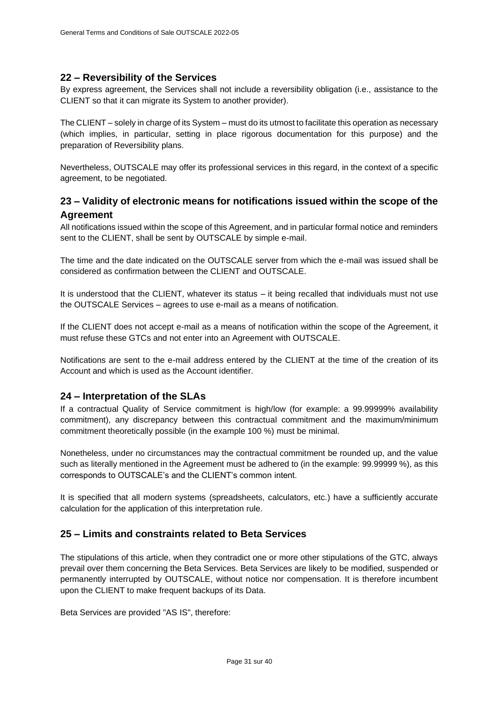## **22 – Reversibility of the Services**

By express agreement, the Services shall not include a reversibility obligation (i.e., assistance to the CLIENT so that it can migrate its System to another provider).

The CLIENT –solely in charge of its System – must do its utmost to facilitate this operation as necessary (which implies, in particular, setting in place rigorous documentation for this purpose) and the preparation of Reversibility plans.

Nevertheless, OUTSCALE may offer its professional services in this regard, in the context of a specific agreement, to be negotiated.

# <span id="page-30-0"></span>**23 – Validity of electronic means for notifications issued within the scope of the Agreement**

All notifications issued within the scope of this Agreement, and in particular formal notice and reminders sent to the CLIENT, shall be sent by OUTSCALE by simple e-mail.

The time and the date indicated on the OUTSCALE server from which the e-mail was issued shall be considered as confirmation between the CLIENT and OUTSCALE.

It is understood that the CLIENT, whatever its status – it being recalled that individuals must not use the OUTSCALE Services – agrees to use e-mail as a means of notification.

If the CLIENT does not accept e-mail as a means of notification within the scope of the Agreement, it must refuse these GTCs and not enter into an Agreement with OUTSCALE.

Notifications are sent to the e-mail address entered by the CLIENT at the time of the creation of its Account and which is used as the Account identifier.

# **24 – Interpretation of the SLAs**

If a contractual Quality of Service commitment is high/low (for example: a 99.99999% availability commitment), any discrepancy between this contractual commitment and the maximum/minimum commitment theoretically possible (in the example 100 %) must be minimal.

Nonetheless, under no circumstances may the contractual commitment be rounded up, and the value such as literally mentioned in the Agreement must be adhered to (in the example: 99.99999 %), as this corresponds to OUTSCALE's and the CLIENT's common intent.

It is specified that all modern systems (spreadsheets, calculators, etc.) have a sufficiently accurate calculation for the application of this interpretation rule.

# **25 – Limits and constraints related to Beta Services**

The stipulations of this article, when they contradict one or more other stipulations of the GTC, always prevail over them concerning the Beta Services. Beta Services are likely to be modified, suspended or permanently interrupted by OUTSCALE, without notice nor compensation. It is therefore incumbent upon the CLIENT to make frequent backups of its Data.

Beta Services are provided "AS IS", therefore: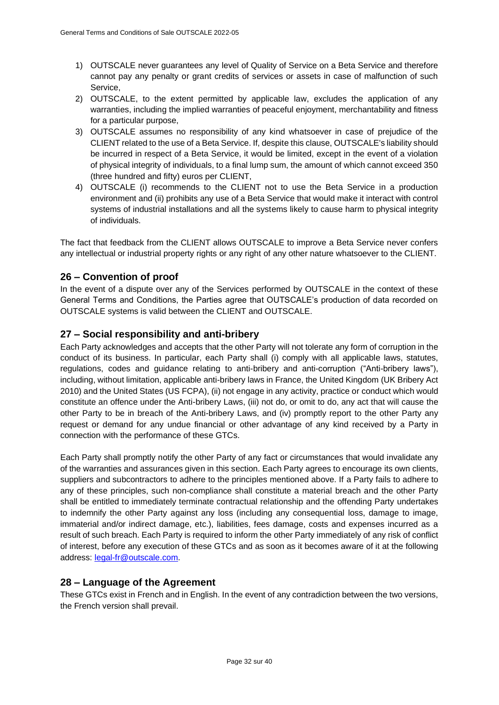- 1) OUTSCALE never guarantees any level of Quality of Service on a Beta Service and therefore cannot pay any penalty or grant credits of services or assets in case of malfunction of such Service,
- 2) OUTSCALE, to the extent permitted by applicable law, excludes the application of any warranties, including the implied warranties of peaceful enjoyment, merchantability and fitness for a particular purpose,
- 3) OUTSCALE assumes no responsibility of any kind whatsoever in case of prejudice of the CLIENT related to the use of a Beta Service. If, despite this clause, OUTSCALE's liability should be incurred in respect of a Beta Service, it would be limited, except in the event of a violation of physical integrity of individuals, to a final lump sum, the amount of which cannot exceed 350 (three hundred and fifty) euros per CLIENT,
- 4) OUTSCALE (i) recommends to the CLIENT not to use the Beta Service in a production environment and (ii) prohibits any use of a Beta Service that would make it interact with control systems of industrial installations and all the systems likely to cause harm to physical integrity of individuals.

The fact that feedback from the CLIENT allows OUTSCALE to improve a Beta Service never confers any intellectual or industrial property rights or any right of any other nature whatsoever to the CLIENT.

# **26 – Convention of proof**

In the event of a dispute over any of the Services performed by OUTSCALE in the context of these General Terms and Conditions, the Parties agree that OUTSCALE's production of data recorded on OUTSCALE systems is valid between the CLIENT and OUTSCALE.

# **27 – Social responsibility and anti-bribery**

Each Party acknowledges and accepts that the other Party will not tolerate any form of corruption in the conduct of its business. In particular, each Party shall (i) comply with all applicable laws, statutes, regulations, codes and guidance relating to anti-bribery and anti-corruption ("Anti-bribery laws"), including, without limitation, applicable anti-bribery laws in France, the United Kingdom (UK Bribery Act 2010) and the United States (US FCPA), (ii) not engage in any activity, practice or conduct which would constitute an offence under the Anti-bribery Laws, (iii) not do, or omit to do, any act that will cause the other Party to be in breach of the Anti-bribery Laws, and (iv) promptly report to the other Party any request or demand for any undue financial or other advantage of any kind received by a Party in connection with the performance of these GTCs.

Each Party shall promptly notify the other Party of any fact or circumstances that would invalidate any of the warranties and assurances given in this section. Each Party agrees to encourage its own clients, suppliers and subcontractors to adhere to the principles mentioned above. If a Party fails to adhere to any of these principles, such non-compliance shall constitute a material breach and the other Party shall be entitled to immediately terminate contractual relationship and the offending Party undertakes to indemnify the other Party against any loss (including any consequential loss, damage to image, immaterial and/or indirect damage, etc.), liabilities, fees damage, costs and expenses incurred as a result of such breach. Each Party is required to inform the other Party immediately of any risk of conflict of interest, before any execution of these GTCs and as soon as it becomes aware of it at the following address: [legal-fr@outscale.com.](mailto:legal-fr@outscale.com)

# **28 – Language of the Agreement**

These GTCs exist in French and in English. In the event of any contradiction between the two versions, the French version shall prevail.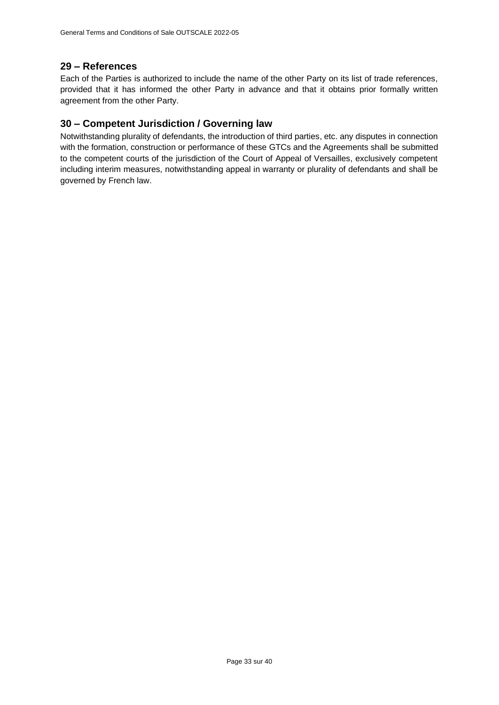# **29 – References**

Each of the Parties is authorized to include the name of the other Party on its list of trade references, provided that it has informed the other Party in advance and that it obtains prior formally written agreement from the other Party.

# **30 – Competent Jurisdiction / Governing law**

Notwithstanding plurality of defendants, the introduction of third parties, etc. any disputes in connection with the formation, construction or performance of these GTCs and the Agreements shall be submitted to the competent courts of the jurisdiction of the Court of Appeal of Versailles, exclusively competent including interim measures, notwithstanding appeal in warranty or plurality of defendants and shall be governed by French law.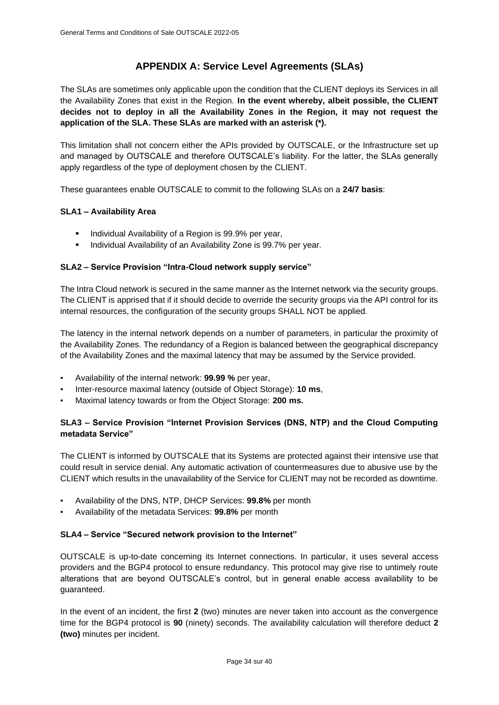# **APPENDIX A: Service Level Agreements (SLAs)**

<span id="page-33-0"></span>The SLAs are sometimes only applicable upon the condition that the CLIENT deploys its Services in all the Availability Zones that exist in the Region. **In the event whereby, albeit possible, the CLIENT decides not to deploy in all the Availability Zones in the Region, it may not request the application of the SLA. These SLAs are marked with an asterisk (\*).**

This limitation shall not concern either the APIs provided by OUTSCALE, or the Infrastructure set up and managed by OUTSCALE and therefore OUTSCALE's liability. For the latter, the SLAs generally apply regardless of the type of deployment chosen by the CLIENT.

These guarantees enable OUTSCALE to commit to the following SLAs on a **24/7 basis**:

## **SLA1 – Availability Area**

- Individual Availability of a Region is 99.9% per year,
- Individual Availability of an Availability Zone is 99.7% per year.

## **SLA2 – Service Provision "Intra-Cloud network supply service"**

The Intra Cloud network is secured in the same manner as the Internet network via the security groups. The CLIENT is apprised that if it should decide to override the security groups via the API control for its internal resources, the configuration of the security groups SHALL NOT be applied.

The latency in the internal network depends on a number of parameters, in particular the proximity of the Availability Zones. The redundancy of a Region is balanced between the geographical discrepancy of the Availability Zones and the maximal latency that may be assumed by the Service provided.

- Availability of the internal network: **99.99 %** per year,
- Inter-resource maximal latency (outside of Object Storage): **10 ms**,
- Maximal latency towards or from the Object Storage: 200 ms.

## **SLA3 – Service Provision "Internet Provision Services (DNS, NTP) and the Cloud Computing metadata Service"**

The CLIENT is informed by OUTSCALE that its Systems are protected against their intensive use that could result in service denial. Any automatic activation of countermeasures due to abusive use by the CLIENT which results in the unavailability of the Service for CLIENT may not be recorded as downtime.

- Availability of the DNS, NTP, DHCP Services: **99.8%** per month
- Availability of the metadata Services: **99.8%** per month

## **SLA4 – Service "Secured network provision to the Internet"**

OUTSCALE is up-to-date concerning its Internet connections. In particular, it uses several access providers and the BGP4 protocol to ensure redundancy. This protocol may give rise to untimely route alterations that are beyond OUTSCALE's control, but in general enable access availability to be guaranteed.

In the event of an incident, the first **2** (two) minutes are never taken into account as the convergence time for the BGP4 protocol is **90** (ninety) seconds. The availability calculation will therefore deduct **2 (two)** minutes per incident.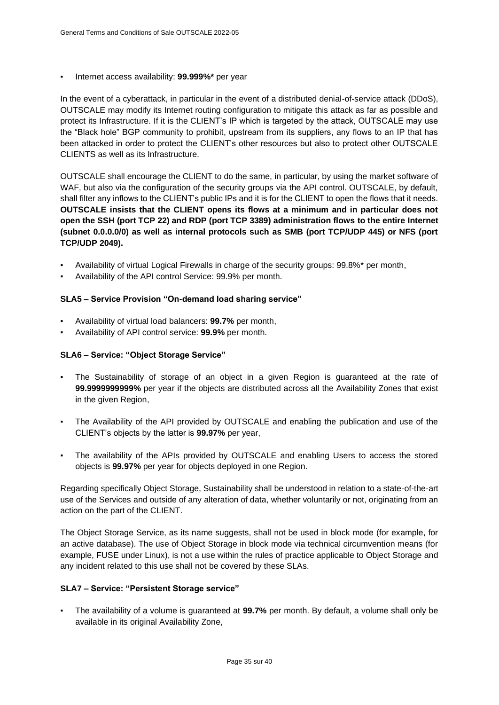Internet access availability: 99.999%\* per year

In the event of a cyberattack, in particular in the event of a distributed denial-of-service attack (DDoS), OUTSCALE may modify its Internet routing configuration to mitigate this attack as far as possible and protect its Infrastructure. If it is the CLIENT's IP which is targeted by the attack, OUTSCALE may use the "Black hole" BGP community to prohibit, upstream from its suppliers, any flows to an IP that has been attacked in order to protect the CLIENT's other resources but also to protect other OUTSCALE CLIENTS as well as its Infrastructure.

OUTSCALE shall encourage the CLIENT to do the same, in particular, by using the market software of WAF, but also via the configuration of the security groups via the API control. OUTSCALE, by default, shall filter any inflows to the CLIENT's public IPs and it is for the CLIENT to open the flows that it needs. **OUTSCALE insists that the CLIENT opens its flows at a minimum and in particular does not open the SSH (port TCP 22) and RDP (port TCP 3389) administration flows to the entire Internet (subnet 0.0.0.0/0) as well as internal protocols such as SMB (port TCP/UDP 445) or NFS (port TCP/UDP 2049).**

- Availability of virtual Logical Firewalls in charge of the security groups: 99.8%\* per month,
- Availability of the API control Service: 99.9% per month.

## **SLA5 – Service Provision "On-demand load sharing service"**

- Availability of virtual load balancers: **99.7%** per month,
- Availability of API control service: **99.9%** per month.

## **SLA6 – Service: "Object Storage Service"**

- The Sustainability of storage of an object in a given Region is guaranteed at the rate of **99.9999999999%** per year if the objects are distributed across all the Availability Zones that exist in the given Region,
- The Availability of the API provided by OUTSCALE and enabling the publication and use of the CLIENT's objects by the latter is **99.97%** per year,
- The availability of the APIs provided by OUTSCALE and enabling Users to access the stored objects is **99.97%** per year for objects deployed in one Region.

Regarding specifically Object Storage, Sustainability shall be understood in relation to a state-of-the-art use of the Services and outside of any alteration of data, whether voluntarily or not, originating from an action on the part of the CLIENT.

The Object Storage Service, as its name suggests, shall not be used in block mode (for example, for an active database). The use of Object Storage in block mode via technical circumvention means (for example, FUSE under Linux), is not a use within the rules of practice applicable to Object Storage and any incident related to this use shall not be covered by these SLAs.

#### **SLA7 – Service: "Persistent Storage service"**

▪ The availability of a volume is guaranteed at **99.7%** per month. By default, a volume shall only be available in its original Availability Zone,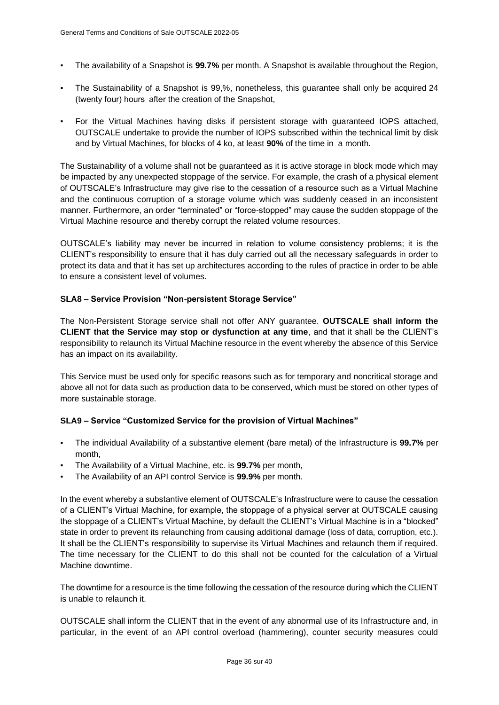- The availability of a Snapshot is **99.7%** per month. A Snapshot is available throughout the Region,
- The Sustainability of a Snapshot is 99,%, nonetheless, this guarantee shall only be acquired 24 (twenty four) hours  after the creation of the Snapshot,
- For the Virtual Machines having disks if persistent storage with guaranteed IOPS attached, OUTSCALE undertake to provide the number of IOPS subscribed within the technical limit by disk and by Virtual Machines, for blocks of 4 ko, at least **90%** of the time in a month.

The Sustainability of a volume shall not be guaranteed as it is active storage in block mode which may be impacted by any unexpected stoppage of the service. For example, the crash of a physical element of OUTSCALE's Infrastructure may give rise to the cessation of a resource such as a Virtual Machine and the continuous corruption of a storage volume which was suddenly ceased in an inconsistent manner. Furthermore, an order "terminated" or "force-stopped" may cause the sudden stoppage of the Virtual Machine resource and thereby corrupt the related volume resources.

OUTSCALE's liability may never be incurred in relation to volume consistency problems; it is the CLIENT's responsibility to ensure that it has duly carried out all the necessary safeguards in order to protect its data and that it has set up architectures according to the rules of practice in order to be able to ensure a consistent level of volumes.

## **SLA8 – Service Provision "Non-persistent Storage Service"**

The Non-Persistent Storage service shall not offer ANY guarantee. **OUTSCALE shall inform the CLIENT that the Service may stop or dysfunction at any time**, and that it shall be the CLIENT's responsibility to relaunch its Virtual Machine resource in the event whereby the absence of this Service has an impact on its availability.

This Service must be used only for specific reasons such as for temporary and noncritical storage and above all not for data such as production data to be conserved, which must be stored on other types of more sustainable storage.

## **SLA9 – Service "Customized Service for the provision of Virtual Machines"**

- The individual Availability of a substantive element (bare metal) of the Infrastructure is **99.7%** per month,
- The Availability of a Virtual Machine, etc. is **99.7%** per month,
- The Availability of an API control Service is **99.9%** per month.

In the event whereby a substantive element of OUTSCALE's Infrastructure were to cause the cessation of a CLIENT's Virtual Machine, for example, the stoppage of a physical server at OUTSCALE causing the stoppage of a CLIENT's Virtual Machine, by default the CLIENT's Virtual Machine is in a "blocked" state in order to prevent its relaunching from causing additional damage (loss of data, corruption, etc.). It shall be the CLIENT's responsibility to supervise its Virtual Machines and relaunch them if required. The time necessary for the CLIENT to do this shall not be counted for the calculation of a Virtual Machine downtime.

The downtime for a resource is the time following the cessation of the resource during which the CLIENT is unable to relaunch it.

OUTSCALE shall inform the CLIENT that in the event of any abnormal use of its Infrastructure and, in particular, in the event of an API control overload (hammering), counter security measures could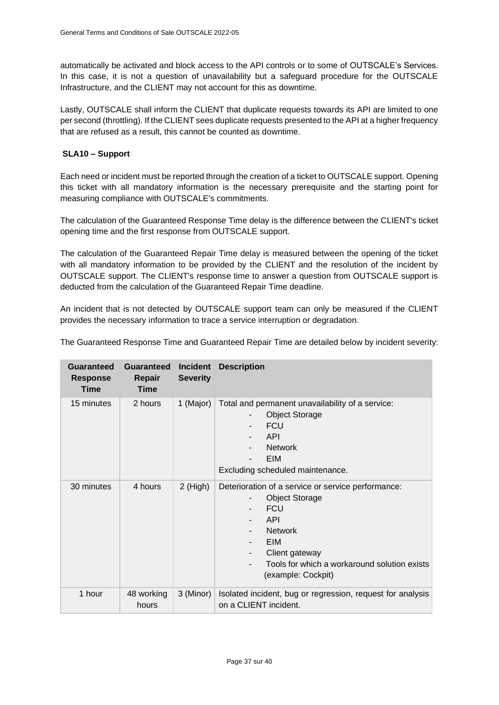automatically be activated and block access to the API controls or to some of OUTSCALE's Services. In this case, it is not a question of unavailability but a safeguard procedure for the OUTSCALE Infrastructure, and the CLIENT may not account for this as downtime.

Lastly, OUTSCALE shall inform the CLIENT that duplicate requests towards its API are limited to one per second (throttling). If the CLIENT sees duplicate requests presented to the API at a higher frequency that are refused as a result, this cannot be counted as downtime.

## <span id="page-36-0"></span>**SLA10 – Support**

Each need or incident must be reported through the creation of a ticket to OUTSCALE support. Opening this ticket with all mandatory information is the necessary prerequisite and the starting point for measuring compliance with OUTSCALE's commitments.

The calculation of the Guaranteed Response Time delay is the difference between the CLIENT's ticket opening time and the first response from OUTSCALE support.

The calculation of the Guaranteed Repair Time delay is measured between the opening of the ticket with all mandatory information to be provided by the CLIENT and the resolution of the incident by OUTSCALE support. The CLIENT's response time to answer a question from OUTSCALE support is deducted from the calculation of the Guaranteed Repair Time deadline.

An incident that is not detected by OUTSCALE support team can only be measured if the CLIENT provides the necessary information to trace a service interruption or degradation.

The Guaranteed Response Time and Guaranteed Repair Time are detailed below by incident severity:

| Guaranteed<br><b>Response</b><br><b>Time</b> | <b>Guaranteed</b><br>Repair<br><b>Time</b> | <b>Incident</b><br><b>Severity</b> | <b>Description</b>                                                                                                                                                                                                      |
|----------------------------------------------|--------------------------------------------|------------------------------------|-------------------------------------------------------------------------------------------------------------------------------------------------------------------------------------------------------------------------|
| 15 minutes                                   | 2 hours                                    | 1 (Major)                          | Total and permanent unavailability of a service:<br><b>Object Storage</b><br><b>FCU</b><br><b>API</b><br><b>Network</b><br>EIM<br>Excluding scheduled maintenance.                                                      |
| 30 minutes                                   | 4 hours                                    | $2$ (High)                         | Deterioration of a service or service performance:<br><b>Object Storage</b><br><b>FCU</b><br>API<br><b>Network</b><br>EIM<br>Client gateway<br>۰.<br>Tools for which a workaround solution exists<br>(example: Cockpit) |
| 1 hour                                       | 48 working<br>hours                        | 3 (Minor)                          | Isolated incident, bug or regression, request for analysis<br>on a CLIENT incident.                                                                                                                                     |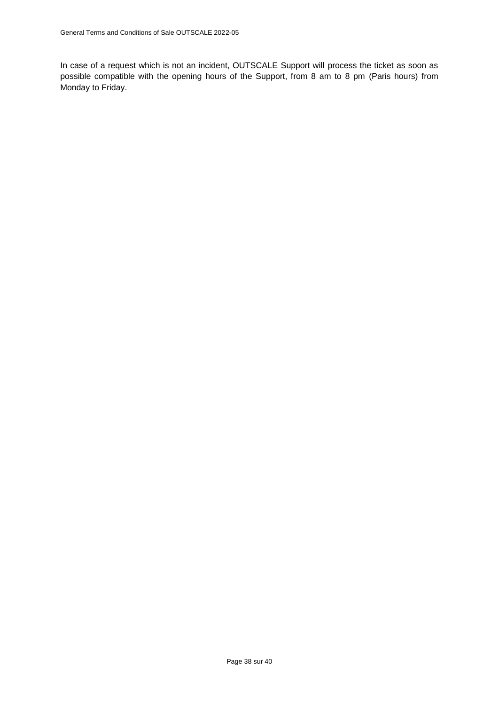In case of a request which is not an incident, OUTSCALE Support will process the ticket as soon as possible compatible with the opening hours of the Support, from 8 am to 8 pm (Paris hours) from Monday to Friday.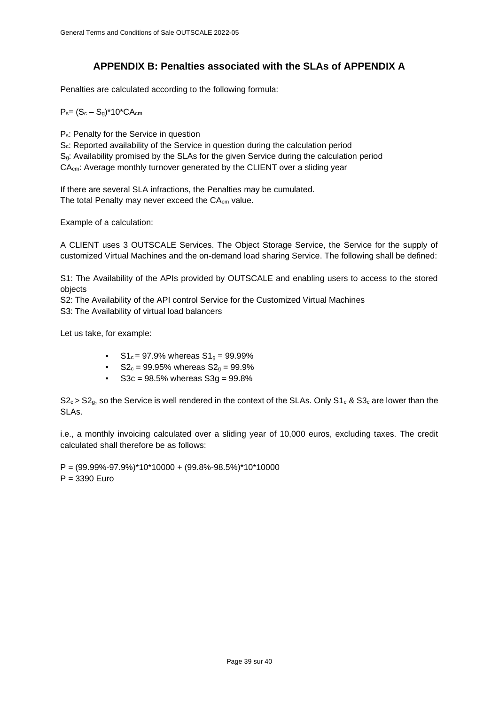# **APPENDIX B: Penalties associated with the SLAs of APPENDIX A**

<span id="page-38-0"></span>Penalties are calculated according to the following formula:

 $P_{s} = (S_c - S_g)^* 10^* C A_{cm}$ 

Ps: Penalty for the Service in question

Sc: Reported availability of the Service in question during the calculation period Sg: Availability promised by the SLAs for the given Service during the calculation period CAcm: Average monthly turnover generated by the CLIENT over a sliding year

If there are several SLA infractions, the Penalties may be cumulated. The total Penalty may never exceed the CA<sub>cm</sub> value.

Example of a calculation:

A CLIENT uses 3 OUTSCALE Services. The Object Storage Service, the Service for the supply of customized Virtual Machines and the on-demand load sharing Service. The following shall be defined:

S1: The Availability of the APIs provided by OUTSCALE and enabling users to access to the stored objects

S2: The Availability of the API control Service for the Customized Virtual Machines

S3: The Availability of virtual load balancers

Let us take, for example:

- $S1_c = 97.9%$  whereas  $S1_q = 99.99%$
- $S_0 = 99.95\%$  whereas  $S_0 = 99.9\%$
- $S3c = 98.5%$  whereas  $S3g = 99.8%$

 $S_2 \geq S_3$ , so the Service is well rendered in the context of the SLAs. Only S1<sub>c</sub> & S3<sub>c</sub> are lower than the SLAs.

i.e., a monthly invoicing calculated over a sliding year of 10,000 euros, excluding taxes. The credit calculated shall therefore be as follows:

 $P = (99.99\% - 97.9\%)^* 10^* 10000 + (99.8\% - 98.5\%)^* 10^* 10000$ P = 3390 Euro